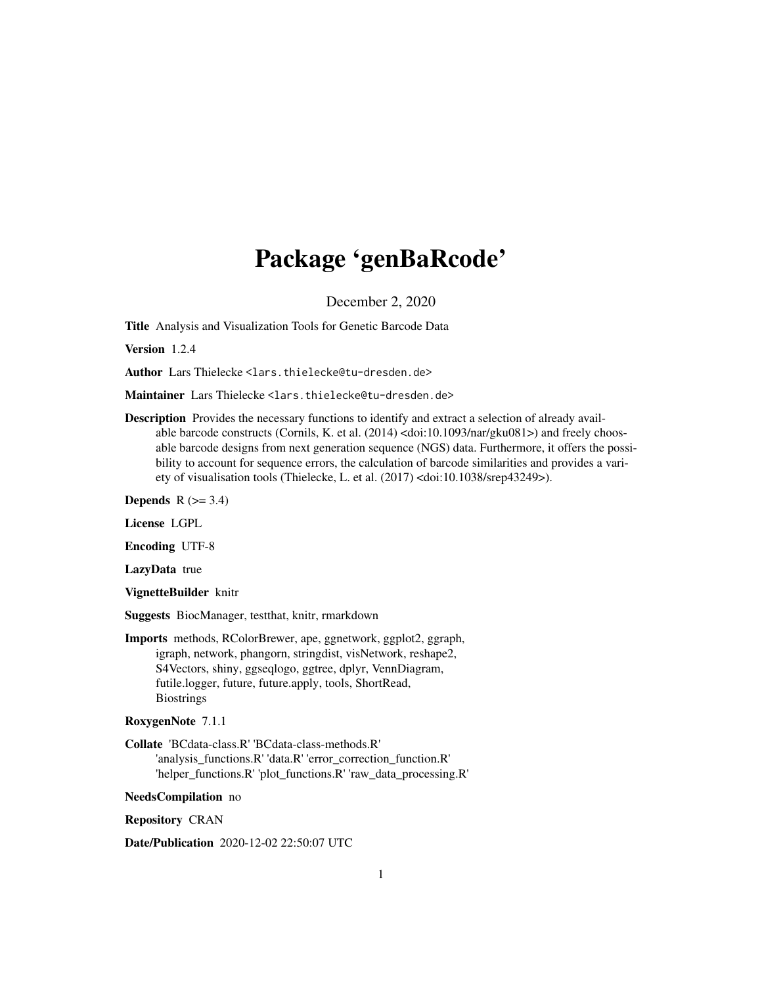# Package 'genBaRcode'

December 2, 2020

Title Analysis and Visualization Tools for Genetic Barcode Data

Version 1.2.4

Author Lars Thielecke <lars.thielecke@tu-dresden.de>

Maintainer Lars Thielecke <lars.thielecke@tu-dresden.de>

Description Provides the necessary functions to identify and extract a selection of already available barcode constructs (Cornils, K. et al. (2014) <doi:10.1093/nar/gku081>) and freely choosable barcode designs from next generation sequence (NGS) data. Furthermore, it offers the possibility to account for sequence errors, the calculation of barcode similarities and provides a variety of visualisation tools (Thielecke, L. et al. (2017) <doi:10.1038/srep43249>).

Depends  $R$  ( $>= 3.4$ )

License LGPL

Encoding UTF-8

LazyData true

VignetteBuilder knitr

Suggests BiocManager, testthat, knitr, rmarkdown

Imports methods, RColorBrewer, ape, ggnetwork, ggplot2, ggraph, igraph, network, phangorn, stringdist, visNetwork, reshape2, S4Vectors, shiny, ggseqlogo, ggtree, dplyr, VennDiagram, futile.logger, future, future.apply, tools, ShortRead, **Biostrings** 

RoxygenNote 7.1.1

Collate 'BCdata-class.R' 'BCdata-class-methods.R' 'analysis\_functions.R' 'data.R' 'error\_correction\_function.R' 'helper\_functions.R' 'plot\_functions.R' 'raw\_data\_processing.R'

NeedsCompilation no

Repository CRAN

Date/Publication 2020-12-02 22:50:07 UTC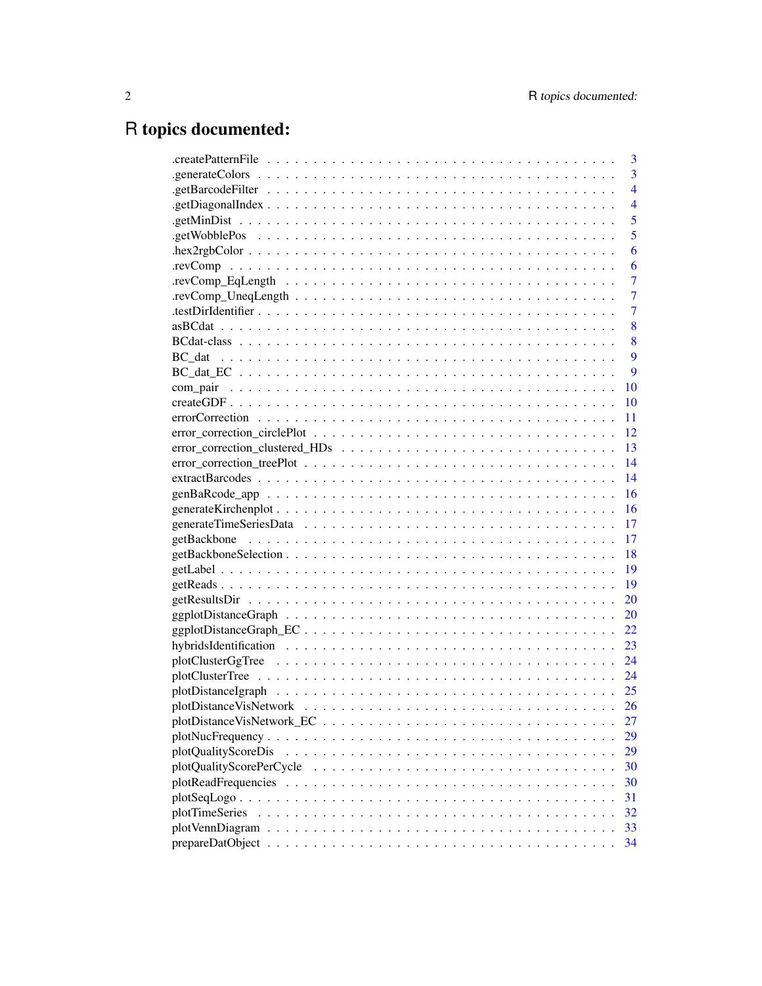# R topics documented:

| 3                                                                                              |
|------------------------------------------------------------------------------------------------|
| 3                                                                                              |
| $\overline{4}$                                                                                 |
| $\overline{4}$                                                                                 |
| 5                                                                                              |
| 5                                                                                              |
| 6                                                                                              |
| 6                                                                                              |
| 7                                                                                              |
| 7                                                                                              |
| 7                                                                                              |
| 8                                                                                              |
| 8                                                                                              |
| 9                                                                                              |
| 9                                                                                              |
| <b>10</b>                                                                                      |
| 10                                                                                             |
| 11                                                                                             |
|                                                                                                |
|                                                                                                |
|                                                                                                |
| 14                                                                                             |
| $genBaRcode\_app$<br>16                                                                        |
| 16                                                                                             |
|                                                                                                |
| 17                                                                                             |
|                                                                                                |
|                                                                                                |
|                                                                                                |
| 20                                                                                             |
| 20                                                                                             |
| 22                                                                                             |
| 23                                                                                             |
| 24                                                                                             |
|                                                                                                |
|                                                                                                |
| 26                                                                                             |
| 27                                                                                             |
| 29<br>$plotNucFrequency \ldots \ldots \ldots \ldots \ldots \ldots \ldots \ldots \ldots \ldots$ |
| plotQualityScoreDis<br>29                                                                      |
| plotQualityScorePerCycle<br>30                                                                 |
| 30                                                                                             |
| 31                                                                                             |
| plotTimeSeries<br>32                                                                           |
| 33                                                                                             |
| 34                                                                                             |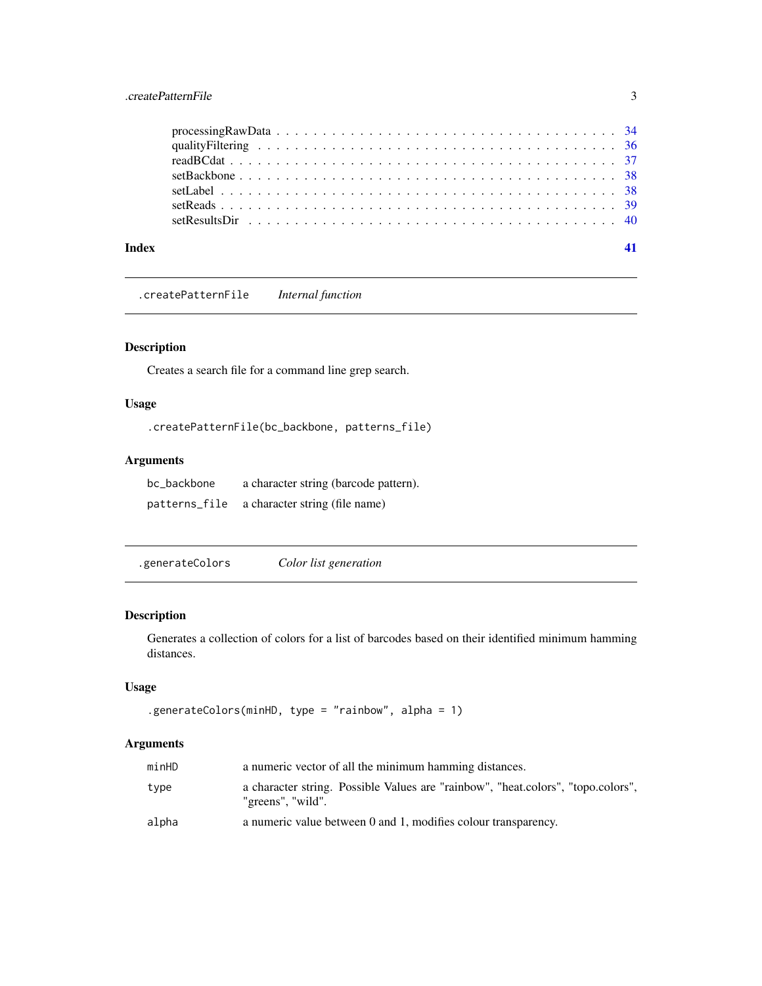# <span id="page-2-0"></span>.createPatternFile 3

| Index |  |  |  |  |  |  |  |  |  |  |  |  |  |  |  |  |  |  |  |
|-------|--|--|--|--|--|--|--|--|--|--|--|--|--|--|--|--|--|--|--|

.createPatternFile *Internal function*

#### Description

Creates a search file for a command line grep search.

# Usage

```
.createPatternFile(bc_backbone, patterns_file)
```
# Arguments

| bc_backbone   | a character string (barcode pattern). |
|---------------|---------------------------------------|
| patterns_file | a character string (file name)        |

.generateColors *Color list generation*

#### Description

Generates a collection of colors for a list of barcodes based on their identified minimum hamming distances.

#### Usage

```
.generateColors(minHD, type = "rainbow", alpha = 1)
```
#### Arguments

| minHD | a numeric vector of all the minimum hamming distances.                                                |
|-------|-------------------------------------------------------------------------------------------------------|
| type  | a character string. Possible Values are "rainbow", "heat.colors", "topo.colors",<br>"greens", "wild". |
| alpha | a numeric value between 0 and 1, modifies colour transparency.                                        |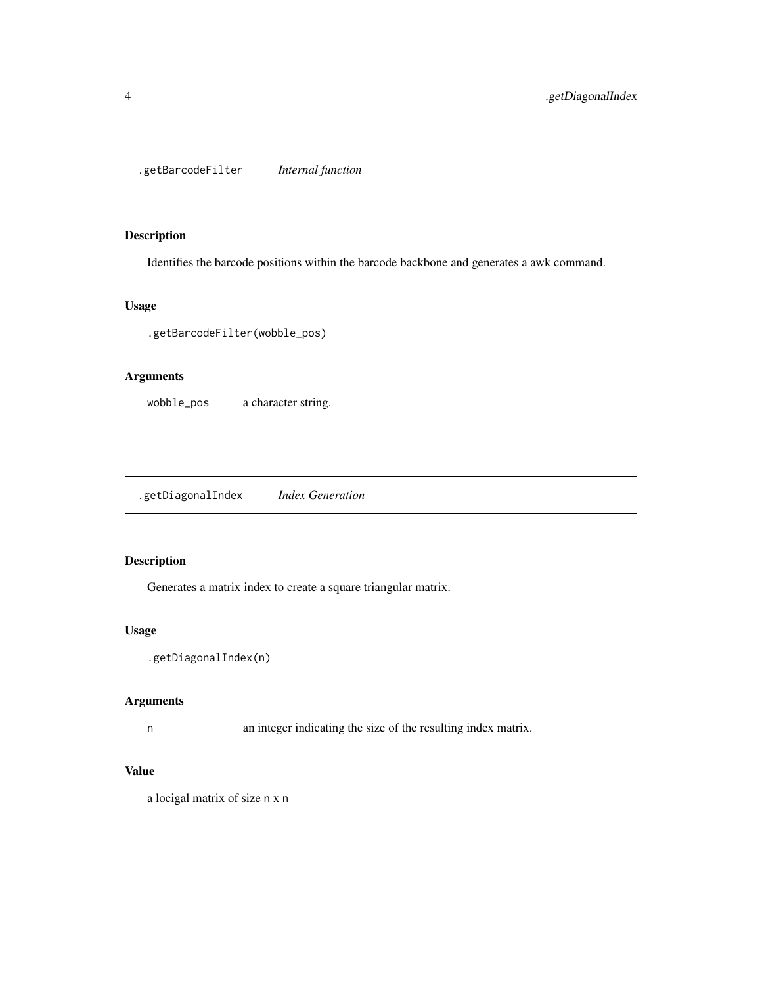<span id="page-3-0"></span>.getBarcodeFilter *Internal function*

#### Description

Identifies the barcode positions within the barcode backbone and generates a awk command.

#### Usage

.getBarcodeFilter(wobble\_pos)

#### Arguments

wobble\_pos a character string.

.getDiagonalIndex *Index Generation*

# Description

Generates a matrix index to create a square triangular matrix.

#### Usage

```
.getDiagonalIndex(n)
```
#### Arguments

n an integer indicating the size of the resulting index matrix.

# Value

a locigal matrix of size n x n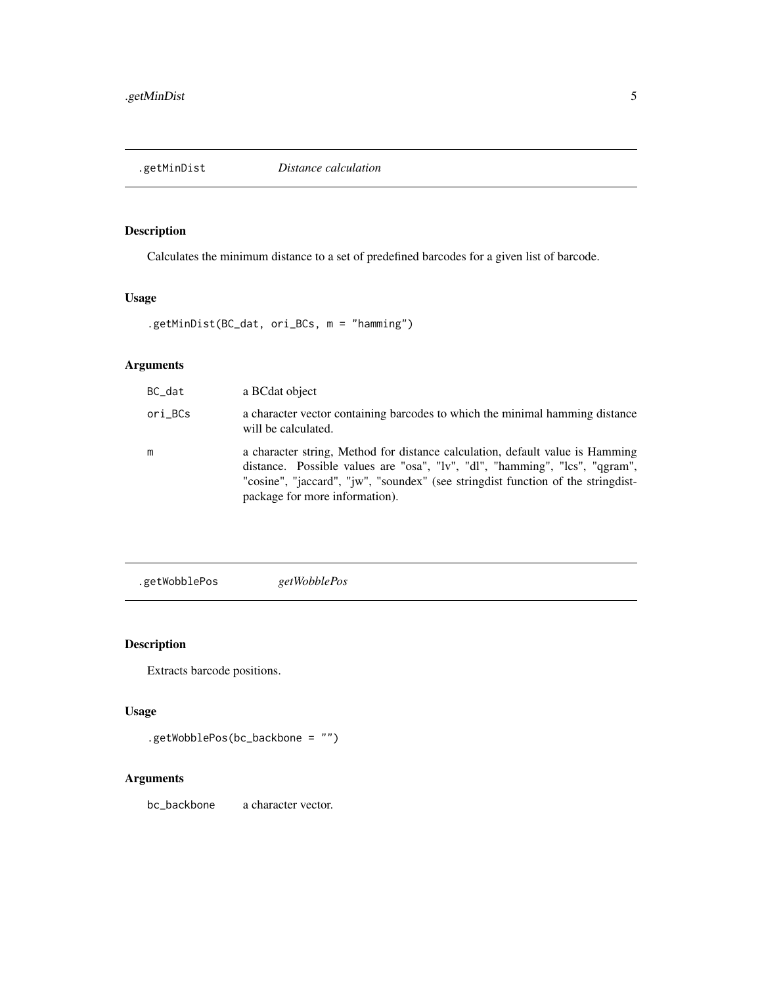<span id="page-4-0"></span>

Calculates the minimum distance to a set of predefined barcodes for a given list of barcode.

### Usage

.getMinDist(BC\_dat, ori\_BCs, m = "hamming")

# Arguments

| BC dat  | a BCdat object                                                                                                                                                                                                                                                                     |
|---------|------------------------------------------------------------------------------------------------------------------------------------------------------------------------------------------------------------------------------------------------------------------------------------|
| ori BCs | a character vector containing barcodes to which the minimal hamming distance<br>will be calculated.                                                                                                                                                                                |
| m       | a character string, Method for distance calculation, default value is Hamming<br>distance. Possible values are "osa", "lv", "dl", "hamming", "lcs", "qgram",<br>"cosine", "jaccard", "jw", "soundex" (see stringdist function of the stringdist-<br>package for more information). |

```
.getWobblePos getWobblePos
```
# Description

Extracts barcode positions.

#### Usage

```
.getWobblePos(bc_backbone = "")
```
#### Arguments

bc\_backbone a character vector.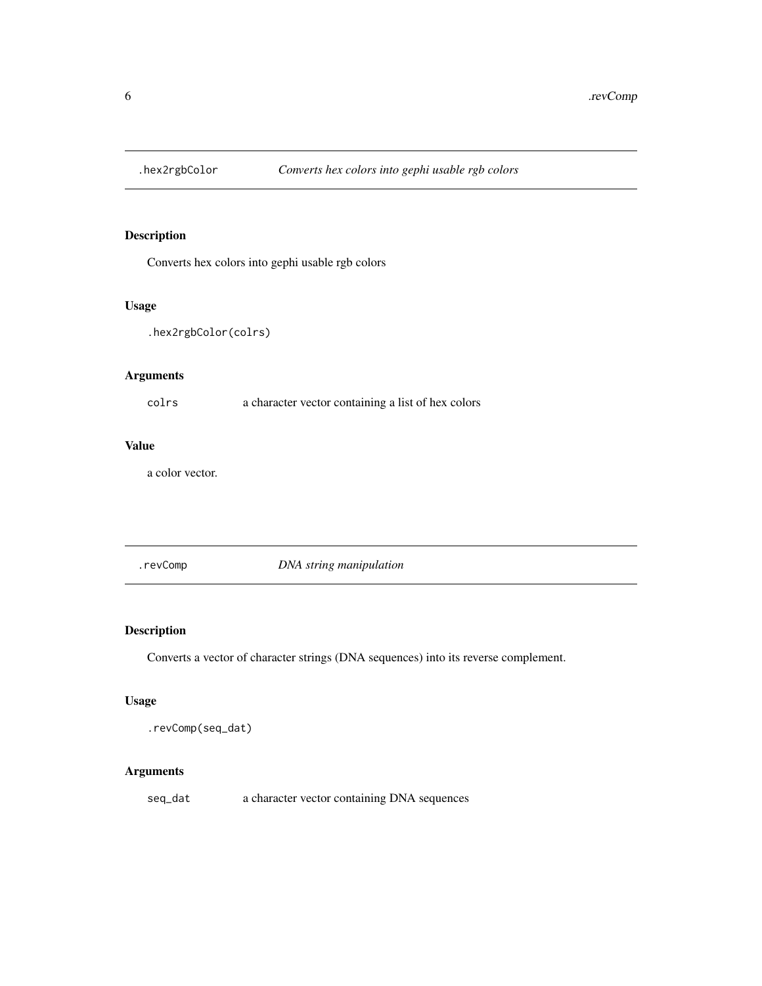<span id="page-5-0"></span>

Converts hex colors into gephi usable rgb colors

#### Usage

.hex2rgbColor(colrs)

#### Arguments

colrs a character vector containing a list of hex colors

# Value

a color vector.

.revComp *DNA string manipulation*

# Description

Converts a vector of character strings (DNA sequences) into its reverse complement.

#### Usage

.revComp(seq\_dat)

# Arguments

seq\_dat a character vector containing DNA sequences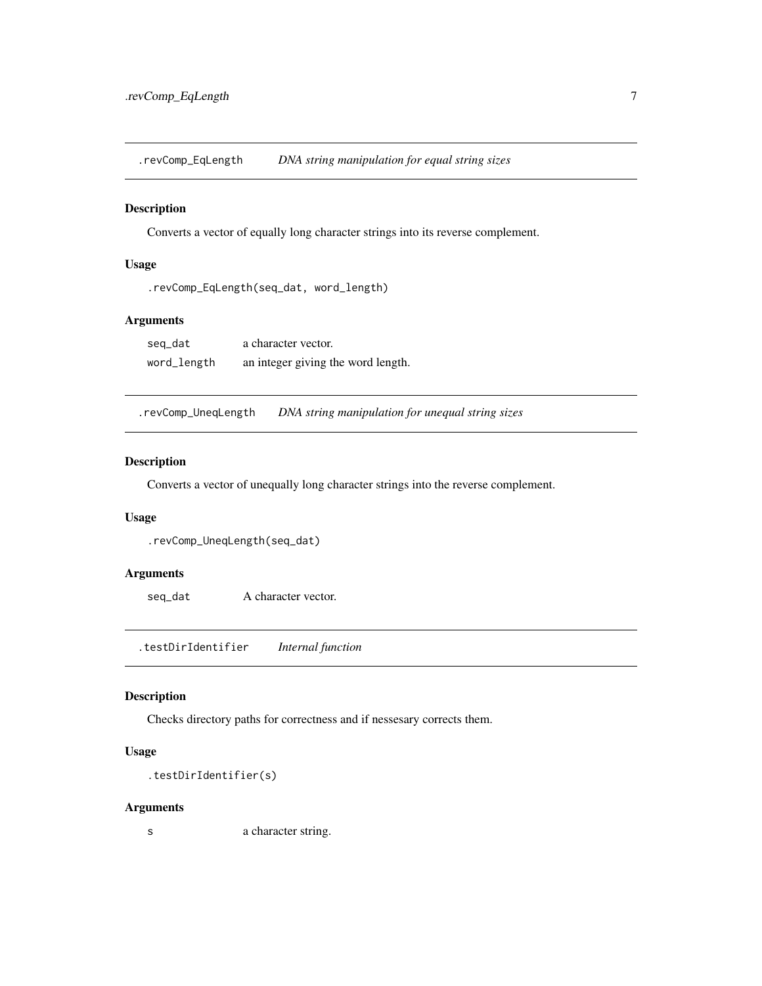<span id="page-6-0"></span>.revComp\_EqLength *DNA string manipulation for equal string sizes*

#### Description

Converts a vector of equally long character strings into its reverse complement.

#### Usage

```
.revComp_EqLength(seq_dat, word_length)
```
#### Arguments

| seg_dat     | a character vector.                |
|-------------|------------------------------------|
| word_length | an integer giving the word length. |

.revComp\_UneqLength *DNA string manipulation for unequal string sizes*

#### Description

Converts a vector of unequally long character strings into the reverse complement.

#### Usage

```
.revComp_UneqLength(seq_dat)
```
#### Arguments

seq\_dat A character vector.

.testDirIdentifier *Internal function*

#### Description

Checks directory paths for correctness and if nessesary corrects them.

#### Usage

```
.testDirIdentifier(s)
```
#### Arguments

s a character string.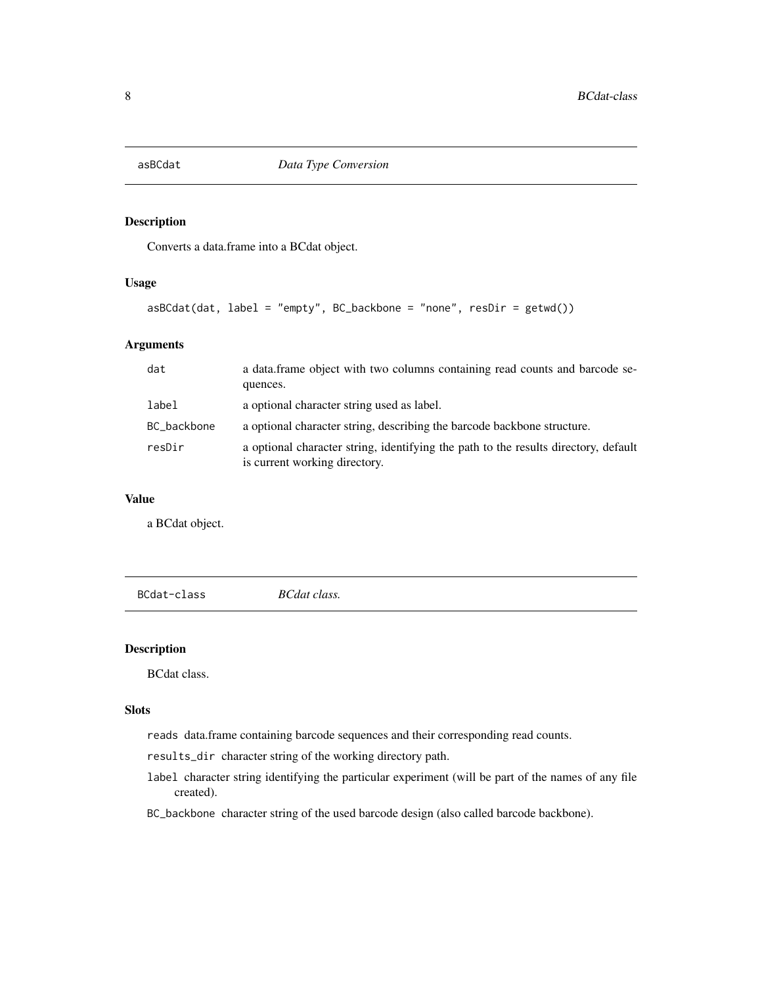<span id="page-7-0"></span>

Converts a data.frame into a BCdat object.

### Usage

```
asBCdat(dat, label = "empty", BC_backbone = "none", resDir = getwd())
```
#### Arguments

| dat         | a data. frame object with two columns containing read counts and barcode se-<br>quences.                             |
|-------------|----------------------------------------------------------------------------------------------------------------------|
| label       | a optional character string used as label.                                                                           |
| BC_backbone | a optional character string, describing the barcode backbone structure.                                              |
| resDir      | a optional character string, identifying the path to the results directory, default<br>is current working directory. |

#### Value

a BCdat object.

BCdat-class *BCdat class.*

#### Description

BCdat class.

#### Slots

reads data.frame containing barcode sequences and their corresponding read counts.

results\_dir character string of the working directory path.

label character string identifying the particular experiment (will be part of the names of any file created).

BC\_backbone character string of the used barcode design (also called barcode backbone).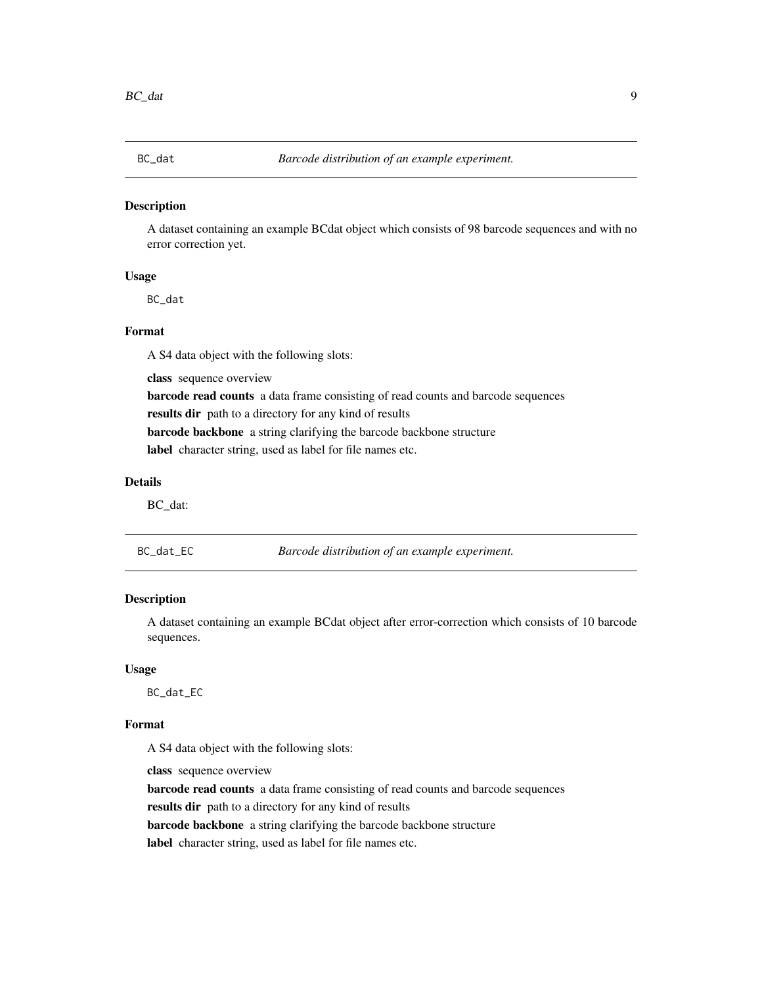<span id="page-8-0"></span>

A dataset containing an example BCdat object which consists of 98 barcode sequences and with no error correction yet.

#### Usage

BC\_dat

#### Format

A S4 data object with the following slots:

class sequence overview barcode read counts a data frame consisting of read counts and barcode sequences results dir path to a directory for any kind of results barcode backbone a string clarifying the barcode backbone structure label character string, used as label for file names etc.

#### Details

BC\_dat:

BC\_dat\_EC *Barcode distribution of an example experiment.*

#### Description

A dataset containing an example BCdat object after error-correction which consists of 10 barcode sequences.

#### Usage

BC\_dat\_EC

#### Format

A S4 data object with the following slots:

class sequence overview

barcode read counts a data frame consisting of read counts and barcode sequences results dir path to a directory for any kind of results

barcode backbone a string clarifying the barcode backbone structure

label character string, used as label for file names etc.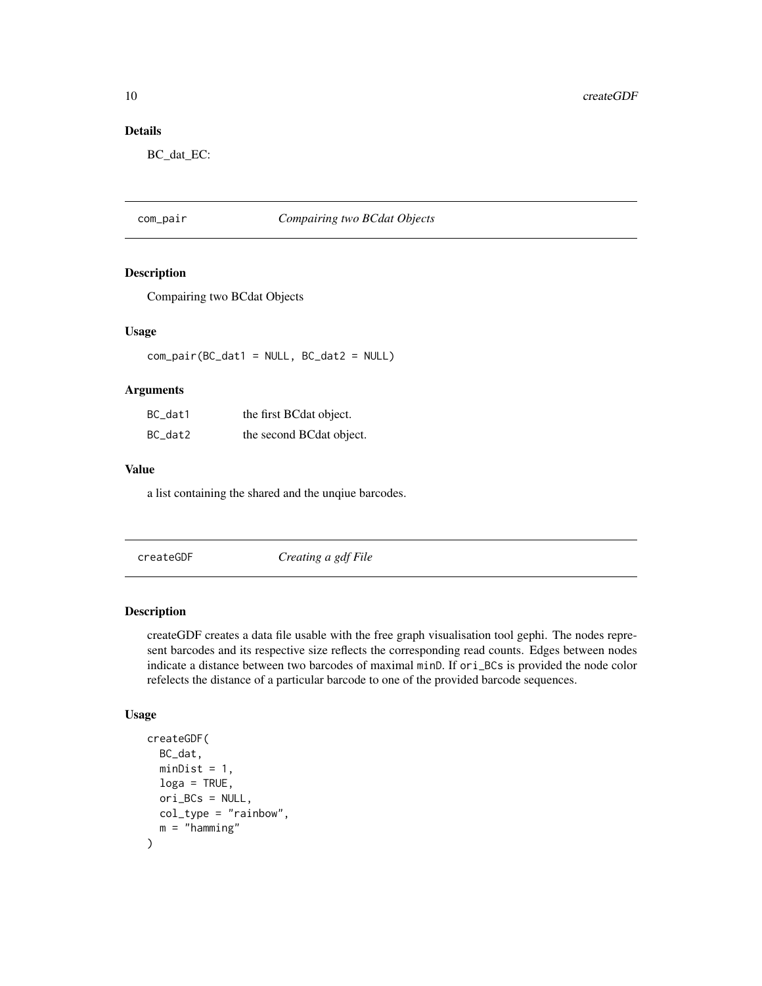<span id="page-9-0"></span>10 createGDF

# Details

BC\_dat\_EC:

# com\_pair *Compairing two BCdat Objects*

#### Description

Compairing two BCdat Objects

#### Usage

com\_pair(BC\_dat1 = NULL, BC\_dat2 = NULL)

#### Arguments

| BC_dat1 | the first BCdat object.  |
|---------|--------------------------|
| BC_dat2 | the second BCdat object. |

#### Value

a list containing the shared and the unqiue barcodes.

createGDF *Creating a gdf File*

#### Description

createGDF creates a data file usable with the free graph visualisation tool gephi. The nodes represent barcodes and its respective size reflects the corresponding read counts. Edges between nodes indicate a distance between two barcodes of maximal minD. If ori\_BCs is provided the node color refelects the distance of a particular barcode to one of the provided barcode sequences.

#### Usage

```
createGDF(
 BC_dat,
 minDist = 1,
  log a = TRUE,ori_BCs = NULL,
 col_type = "rainbow",
  m = "hamming")
```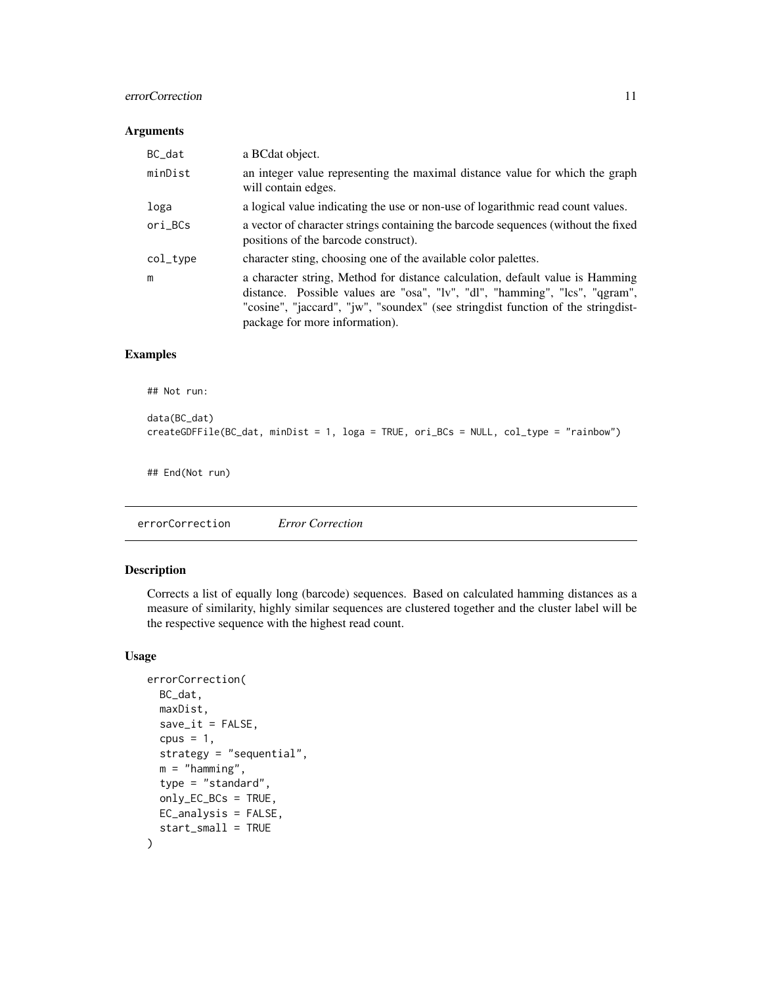#### <span id="page-10-0"></span>errorCorrection 11

#### Arguments

| BC_dat   | a BCdat object.                                                                                                                                                                                                                                                                    |
|----------|------------------------------------------------------------------------------------------------------------------------------------------------------------------------------------------------------------------------------------------------------------------------------------|
| minDist  | an integer value representing the maximal distance value for which the graph<br>will contain edges.                                                                                                                                                                                |
| loga     | a logical value indicating the use or non-use of logarithmic read count values.                                                                                                                                                                                                    |
| ori_BCs  | a vector of character strings containing the barcode sequences (without the fixed<br>positions of the barcode construct).                                                                                                                                                          |
| col_type | character sting, choosing one of the available color palettes.                                                                                                                                                                                                                     |
| m        | a character string, Method for distance calculation, default value is Hamming<br>distance. Possible values are "osa", "lv", "dl", "hamming", "lcs", "qgram",<br>"cosine", "jaccard", "jw", "soundex" (see stringdist function of the stringdist-<br>package for more information). |

#### Examples

```
## Not run:
```

```
data(BC_dat)
createGDFFile(BC_dat, minDist = 1, loga = TRUE, ori_BCs = NULL, col_type = "rainbow")
## End(Not run)
```
errorCorrection *Error Correction*

#### Description

Corrects a list of equally long (barcode) sequences. Based on calculated hamming distances as a measure of similarity, highly similar sequences are clustered together and the cluster label will be the respective sequence with the highest read count.

#### Usage

```
errorCorrection(
 BC_dat,
 maxDist,
  save\_it = FALSE,cpus = 1,strategy = "sequential",
 m = "hamming",
  type = "standard",
  only_EC_BCs = TRUE,
 EC_analysis = FALSE,
  start_small = TRUE
\mathcal{E}
```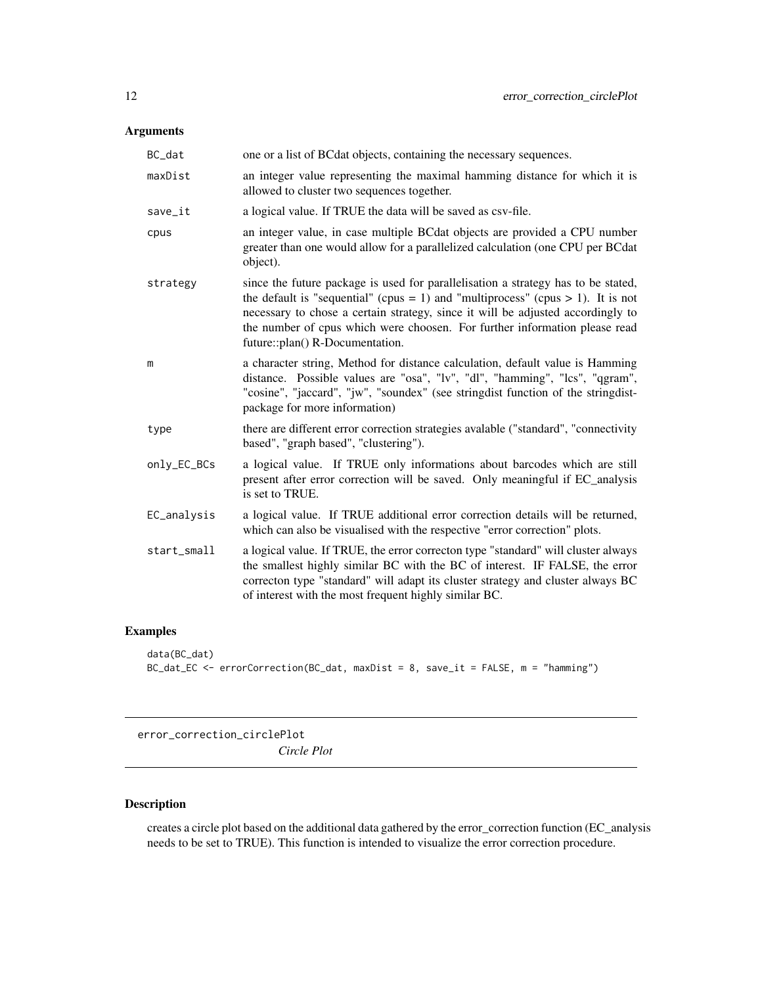# <span id="page-11-0"></span>Arguments

| BC_dat      | one or a list of BCdat objects, containing the necessary sequences.                                                                                                                                                                                                                                                                                                      |
|-------------|--------------------------------------------------------------------------------------------------------------------------------------------------------------------------------------------------------------------------------------------------------------------------------------------------------------------------------------------------------------------------|
| maxDist     | an integer value representing the maximal hamming distance for which it is<br>allowed to cluster two sequences together.                                                                                                                                                                                                                                                 |
| save_it     | a logical value. If TRUE the data will be saved as csv-file.                                                                                                                                                                                                                                                                                                             |
| cpus        | an integer value, in case multiple BCdat objects are provided a CPU number<br>greater than one would allow for a parallelized calculation (one CPU per BCdat<br>object).                                                                                                                                                                                                 |
| strategy    | since the future package is used for parallelisation a strategy has to be stated,<br>the default is "sequential" (cpus = 1) and "multiprocess" (cpus > 1). It is not<br>necessary to chose a certain strategy, since it will be adjusted accordingly to<br>the number of cpus which were choosen. For further information please read<br>future::plan() R-Documentation. |
| m           | a character string, Method for distance calculation, default value is Hamming<br>distance. Possible values are "osa", "lv", "dl", "hamming", "lcs", "qgram",<br>"cosine", "jaccard", "jw", "soundex" (see stringdist function of the stringdist-<br>package for more information)                                                                                        |
| type        | there are different error correction strategies avalable ("standard", "connectivity<br>based", "graph based", "clustering").                                                                                                                                                                                                                                             |
| only_EC_BCs | a logical value. If TRUE only informations about barcodes which are still<br>present after error correction will be saved. Only meaningful if EC_analysis<br>is set to TRUE.                                                                                                                                                                                             |
| EC_analysis | a logical value. If TRUE additional error correction details will be returned,<br>which can also be visualised with the respective "error correction" plots.                                                                                                                                                                                                             |
| start_small | a logical value. If TRUE, the error correcton type "standard" will cluster always<br>the smallest highly similar BC with the BC of interest. IF FALSE, the error<br>correcton type "standard" will adapt its cluster strategy and cluster always BC<br>of interest with the most frequent highly similar BC.                                                             |

# Examples

```
data(BC_dat)
BC_dat_EC <- errorCorrection(BC_dat, maxDist = 8, save_it = FALSE, m = "hamming")
```
error\_correction\_circlePlot *Circle Plot*

# Description

creates a circle plot based on the additional data gathered by the error\_correction function (EC\_analysis needs to be set to TRUE). This function is intended to visualize the error correction procedure.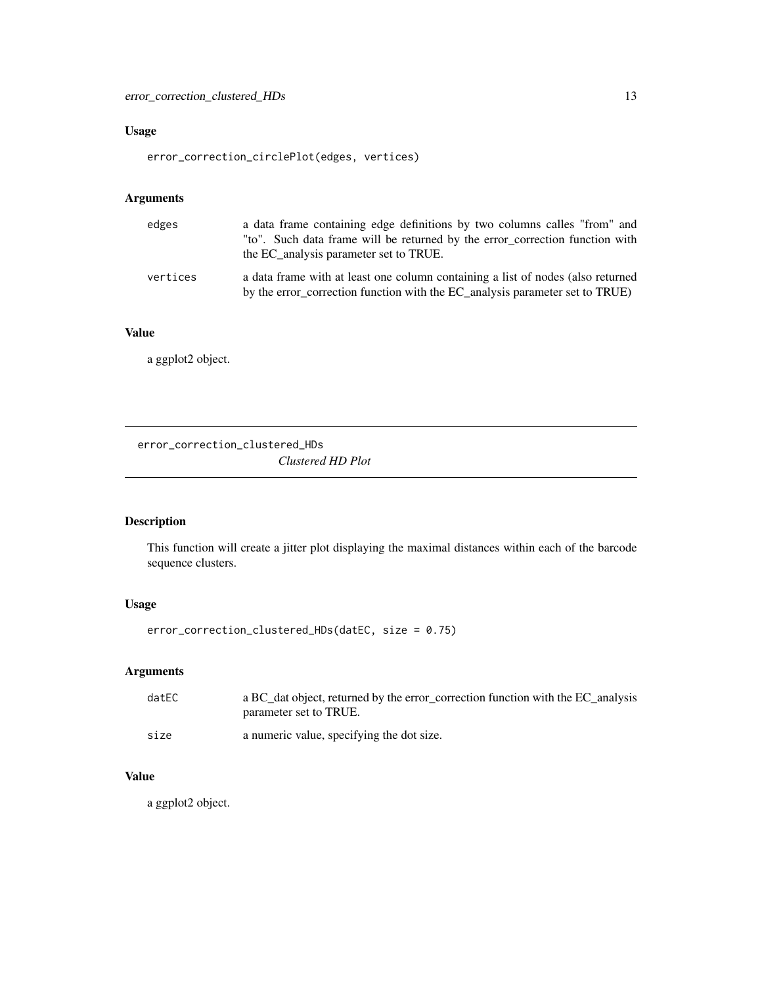# <span id="page-12-0"></span>Usage

```
error_correction_circlePlot(edges, vertices)
```
# Arguments

| edges    | a data frame containing edge definitions by two columns calles "from" and<br>"to". Such data frame will be returned by the error_correction function with<br>the EC analysis parameter set to TRUE. |
|----------|-----------------------------------------------------------------------------------------------------------------------------------------------------------------------------------------------------|
| vertices | a data frame with at least one column containing a list of nodes (also returned<br>by the error_correction function with the EC_analysis parameter set to TRUE)                                     |

#### Value

a ggplot2 object.

error\_correction\_clustered\_HDs *Clustered HD Plot*

# Description

This function will create a jitter plot displaying the maximal distances within each of the barcode sequence clusters.

# Usage

```
error_correction_clustered_HDs(datEC, size = 0.75)
```
# Arguments

| dateC | a BC_dat object, returned by the error_correction function with the EC_analysis<br>parameter set to TRUE. |
|-------|-----------------------------------------------------------------------------------------------------------|
| size  | a numeric value, specifying the dot size.                                                                 |

#### Value

a ggplot2 object.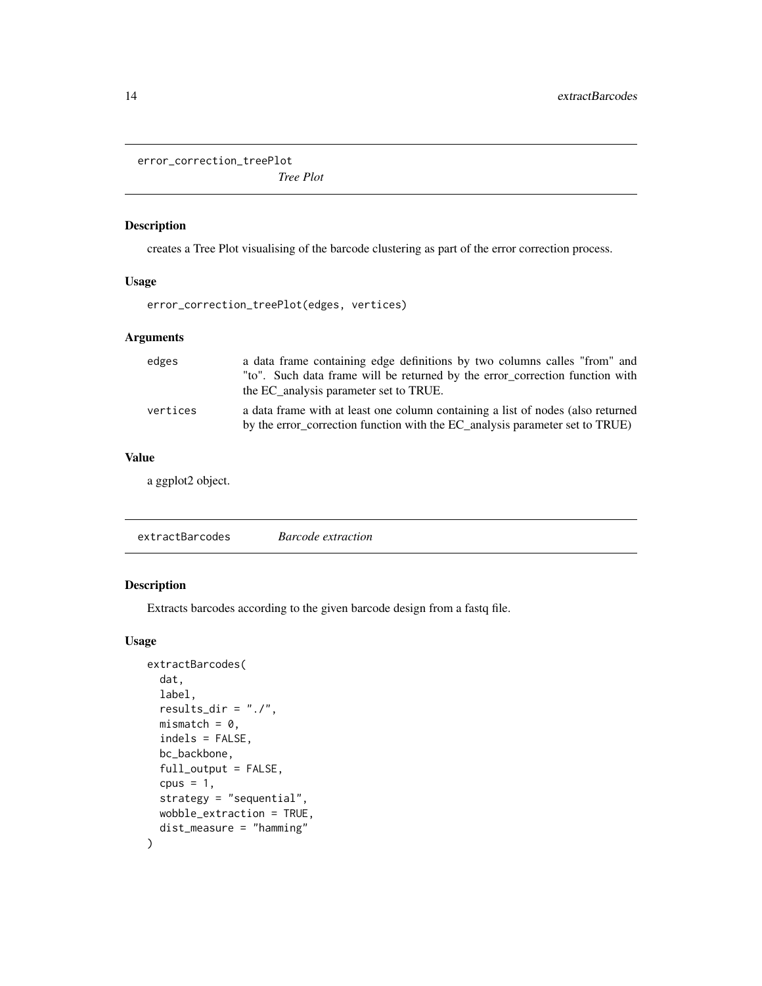<span id="page-13-0"></span>error\_correction\_treePlot

*Tree Plot*

# Description

creates a Tree Plot visualising of the barcode clustering as part of the error correction process.

#### Usage

error\_correction\_treePlot(edges, vertices)

#### Arguments

| edges    | a data frame containing edge definitions by two columns calles "from" and<br>"to". Such data frame will be returned by the error_correction function with<br>the EC analysis parameter set to TRUE. |
|----------|-----------------------------------------------------------------------------------------------------------------------------------------------------------------------------------------------------|
| vertices | a data frame with at least one column containing a list of nodes (also returned<br>by the error_correction function with the EC_analysis parameter set to TRUE)                                     |

#### Value

a ggplot2 object.

## Description

Extracts barcodes according to the given barcode design from a fastq file.

#### Usage

```
extractBarcodes(
 dat,
 label,
  results_dir = "./",
 mismatch = 0,indels = FALSE,
 bc_backbone,
  full_output = FALSE,
  cpus = 1,
  strategy = "sequential",
 wobble_extraction = TRUE,
  dist_measure = "hamming"
\mathcal{E}
```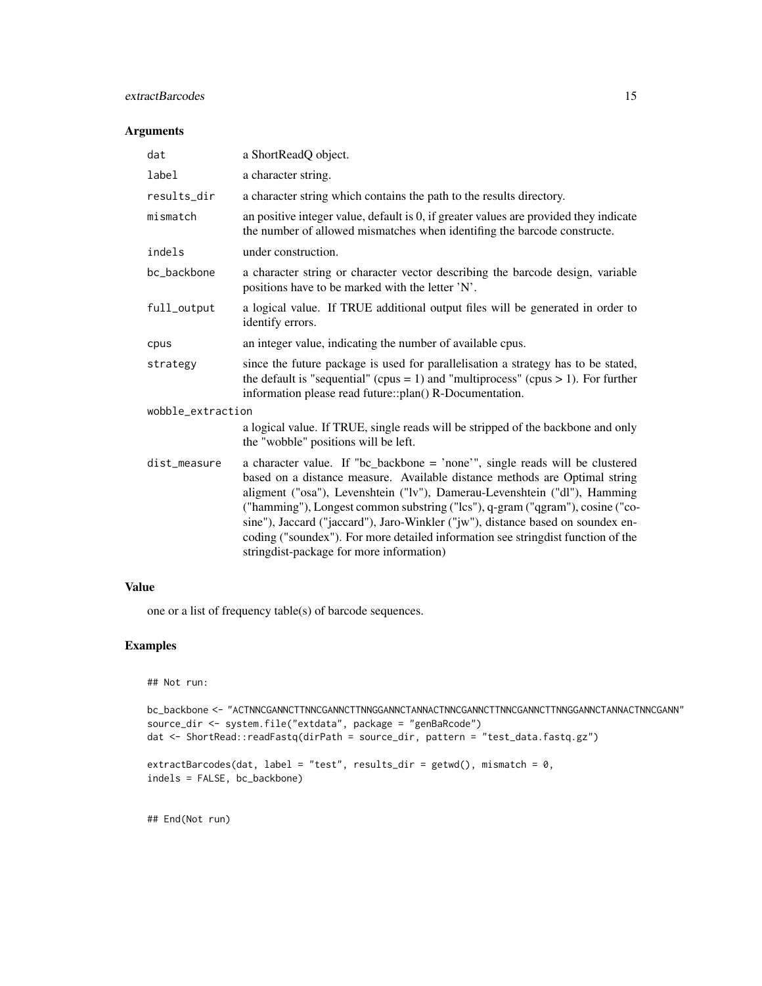#### extractBarcodes 15

### Arguments

| dat               | a ShortReadQ object.                                                                                                                                                                                                                                                                                                                                                                                                                                                                                                                        |  |
|-------------------|---------------------------------------------------------------------------------------------------------------------------------------------------------------------------------------------------------------------------------------------------------------------------------------------------------------------------------------------------------------------------------------------------------------------------------------------------------------------------------------------------------------------------------------------|--|
| label             | a character string.                                                                                                                                                                                                                                                                                                                                                                                                                                                                                                                         |  |
| results_dir       | a character string which contains the path to the results directory.                                                                                                                                                                                                                                                                                                                                                                                                                                                                        |  |
| mismatch          | an positive integer value, default is 0, if greater values are provided they indicate<br>the number of allowed mismatches when identifing the barcode constructe.                                                                                                                                                                                                                                                                                                                                                                           |  |
| indels            | under construction.                                                                                                                                                                                                                                                                                                                                                                                                                                                                                                                         |  |
| bc_backbone       | a character string or character vector describing the barcode design, variable<br>positions have to be marked with the letter 'N'.                                                                                                                                                                                                                                                                                                                                                                                                          |  |
| full_output       | a logical value. If TRUE additional output files will be generated in order to<br>identify errors.                                                                                                                                                                                                                                                                                                                                                                                                                                          |  |
| cpus              | an integer value, indicating the number of available cpus.                                                                                                                                                                                                                                                                                                                                                                                                                                                                                  |  |
| strategy          | since the future package is used for parallelisation a strategy has to be stated,<br>the default is "sequential" (cpus = 1) and "multiprocess" (cpus > 1). For further<br>information please read future::plan() R-Documentation.                                                                                                                                                                                                                                                                                                           |  |
| wobble_extraction |                                                                                                                                                                                                                                                                                                                                                                                                                                                                                                                                             |  |
|                   | a logical value. If TRUE, single reads will be stripped of the backbone and only<br>the "wobble" positions will be left.                                                                                                                                                                                                                                                                                                                                                                                                                    |  |
| dist_measure      | a character value. If "bc_backbone = 'none'", single reads will be clustered<br>based on a distance measure. Available distance methods are Optimal string<br>aligment ("osa"), Levenshtein ("lv"), Damerau-Levenshtein ("dl"), Hamming<br>("hamming"), Longest common substring ("lcs"), q-gram ("qgram"), cosine ("co-<br>sine"), Jaccard ("jaccard"), Jaro-Winkler ("jw"), distance based on soundex en-<br>coding ("soundex"). For more detailed information see stringdist function of the<br>stringdist-package for more information) |  |

# Value

one or a list of frequency table(s) of barcode sequences.

# Examples

```
## Not run:
```

```
bc_backbone <- "ACTNNCGANNCTTNNCGANNCTTNNGGANNCTANNACTNNCGANNCTTNNCGANNCTTNNGGANNCTANNACTNNCGANN"
source_dir <- system.file("extdata", package = "genBaRcode")
dat <- ShortRead::readFastq(dirPath = source_dir, pattern = "test_data.fastq.gz")
```

```
extractBarcodes(dat, label = "test", results_dir = getwd(), mismatch = 0,
indels = FALSE, bc_backbone)
```
## End(Not run)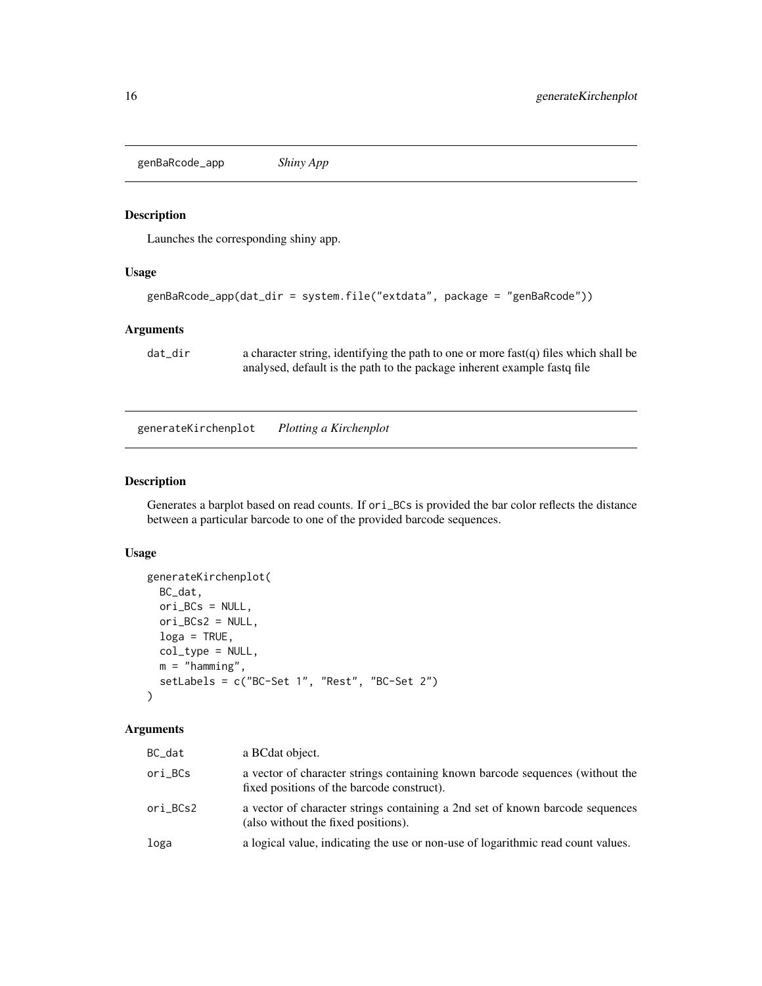<span id="page-15-0"></span>genBaRcode\_app *Shiny App*

#### Description

Launches the corresponding shiny app.

#### Usage

```
genBaRcode_app(dat_dir = system.file("extdata", package = "genBaRcode"))
```
#### Arguments

dat\_dir a character string, identifying the path to one or more fast(q) files which shall be analysed, default is the path to the package inherent example fastq file

generateKirchenplot *Plotting a Kirchenplot*

#### Description

Generates a barplot based on read counts. If ori\_BCs is provided the bar color reflects the distance between a particular barcode to one of the provided barcode sequences.

### Usage

```
generateKirchenplot(
 BC_dat,
 ori_BCs = NULL,
 ori_BCs2 = NULL,
 log a = TRUE,col_type = NULL,
 m = "hamming",setLabels = c("BC-Set 1", "Rest", "BC-Set 2")
)
```
#### Arguments

| BC_dat   | a BCdat object.                                                                                                             |
|----------|-----------------------------------------------------------------------------------------------------------------------------|
| ori_BCs  | a vector of character strings containing known barcode sequences (without the<br>fixed positions of the barcode construct). |
| ori_BCs2 | a vector of character strings containing a 2nd set of known barcode sequences<br>(also without the fixed positions).        |
| loga     | a logical value, indicating the use or non-use of logarithmic read count values.                                            |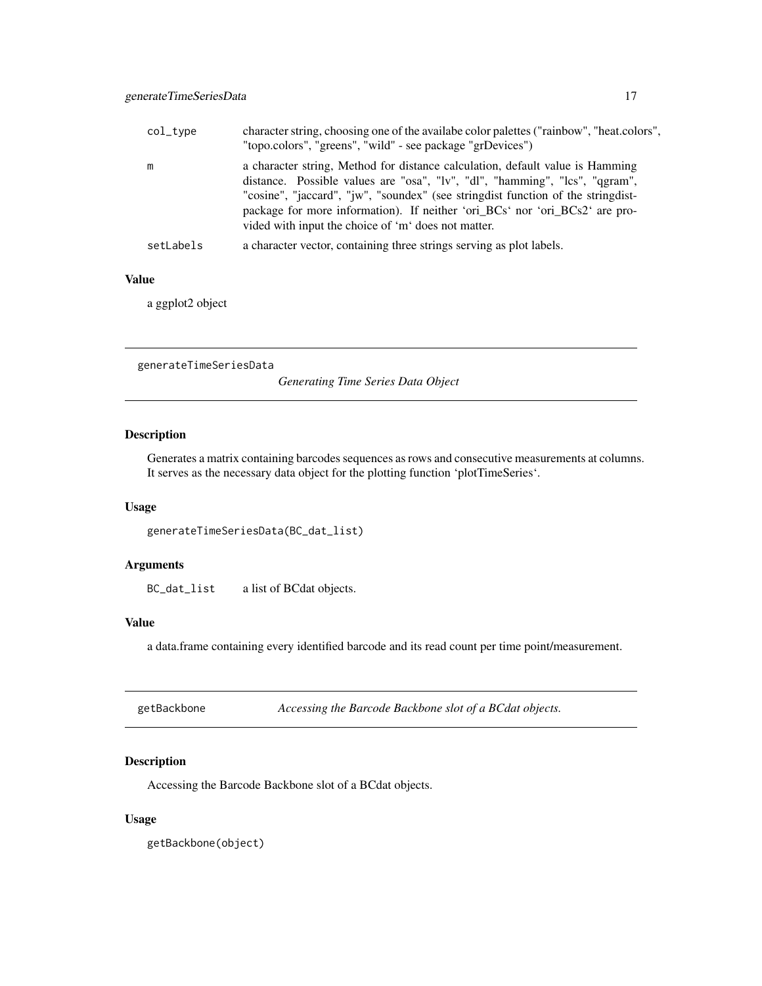<span id="page-16-0"></span>

| col_type  | character string, choosing one of the available color palettes ("rainbow", "heat.colors",<br>"topo.colors", "greens", "wild" - see package "grDevices")                                                                                                                                                                                                                                  |
|-----------|------------------------------------------------------------------------------------------------------------------------------------------------------------------------------------------------------------------------------------------------------------------------------------------------------------------------------------------------------------------------------------------|
| m         | a character string, Method for distance calculation, default value is Hamming<br>distance. Possible values are "osa", "lv", "dl", "hamming", "lcs", "qgram",<br>"cosine", "jaccard", "jw", "soundex" (see string dist function of the string dist-<br>package for more information). If neither 'ori_BCs' nor 'ori_BCs2' are pro-<br>vided with input the choice of 'm' does not matter. |
| setLabels | a character vector, containing three strings serving as plot labels.                                                                                                                                                                                                                                                                                                                     |

#### Value

a ggplot2 object

generateTimeSeriesData

*Generating Time Series Data Object*

#### Description

Generates a matrix containing barcodes sequences as rows and consecutive measurements at columns. It serves as the necessary data object for the plotting function 'plotTimeSeries'.

### Usage

generateTimeSeriesData(BC\_dat\_list)

# Arguments

BC\_dat\_list a list of BCdat objects.

#### Value

a data.frame containing every identified barcode and its read count per time point/measurement.

| getBackbone | Accessing the Barcode Backbone slot of a BCdat objects. |  |
|-------------|---------------------------------------------------------|--|
|-------------|---------------------------------------------------------|--|

# Description

Accessing the Barcode Backbone slot of a BCdat objects.

#### Usage

getBackbone(object)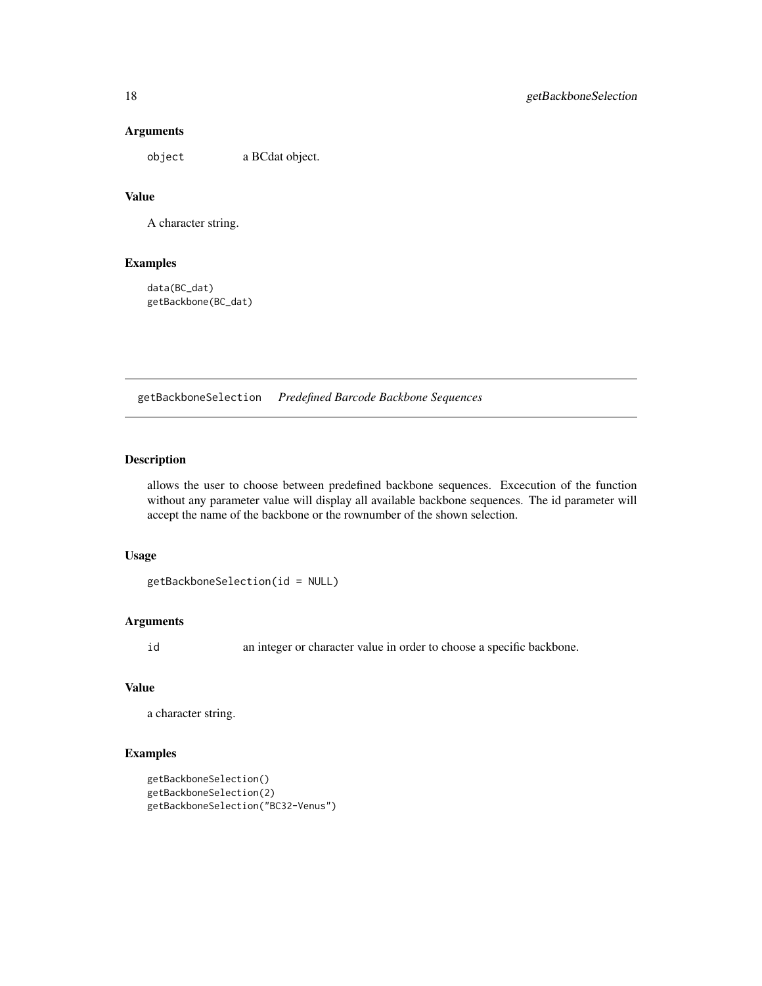#### Arguments

object a BCdat object.

#### Value

A character string.

#### Examples

data(BC\_dat) getBackbone(BC\_dat)

getBackboneSelection *Predefined Barcode Backbone Sequences*

# Description

allows the user to choose between predefined backbone sequences. Excecution of the function without any parameter value will display all available backbone sequences. The id parameter will accept the name of the backbone or the rownumber of the shown selection.

#### Usage

getBackboneSelection(id = NULL)

#### Arguments

id an integer or character value in order to choose a specific backbone.

#### Value

```
a character string.
```
#### Examples

```
getBackboneSelection()
getBackboneSelection(2)
getBackboneSelection("BC32-Venus")
```
<span id="page-17-0"></span>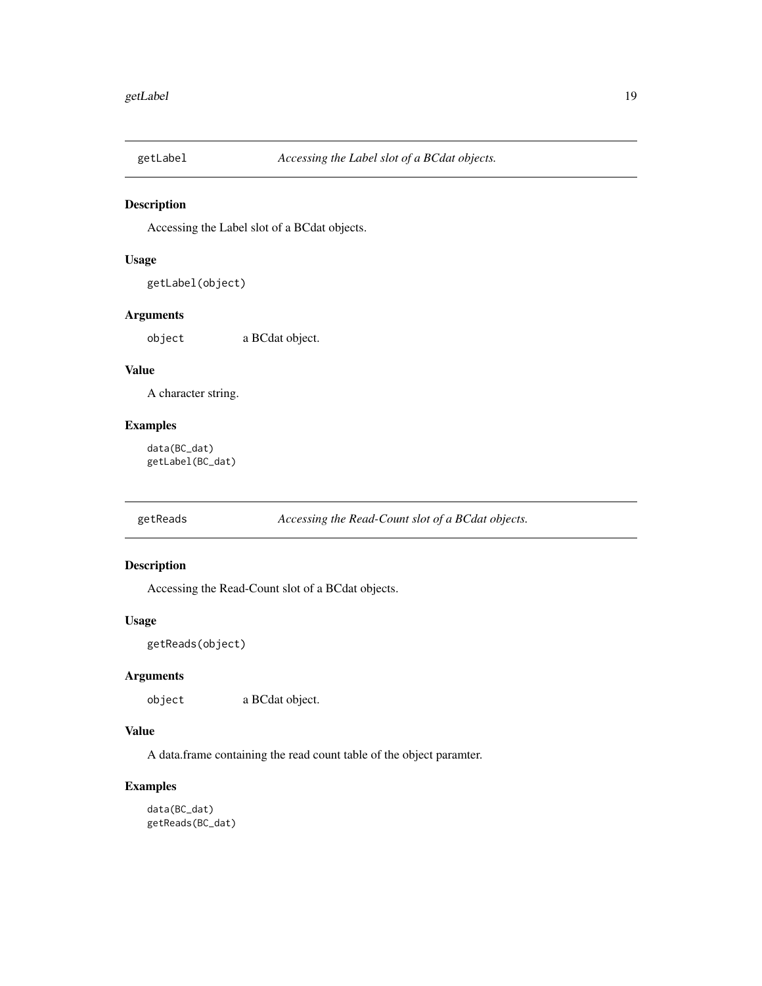<span id="page-18-0"></span>

Accessing the Label slot of a BCdat objects.

### Usage

```
getLabel(object)
```
#### Arguments

object a BCdat object.

## Value

A character string.

#### Examples

data(BC\_dat) getLabel(BC\_dat)

getReads *Accessing the Read-Count slot of a BCdat objects.*

#### Description

Accessing the Read-Count slot of a BCdat objects.

#### Usage

```
getReads(object)
```
#### Arguments

object a BCdat object.

#### Value

A data.frame containing the read count table of the object paramter.

#### Examples

data(BC\_dat) getReads(BC\_dat)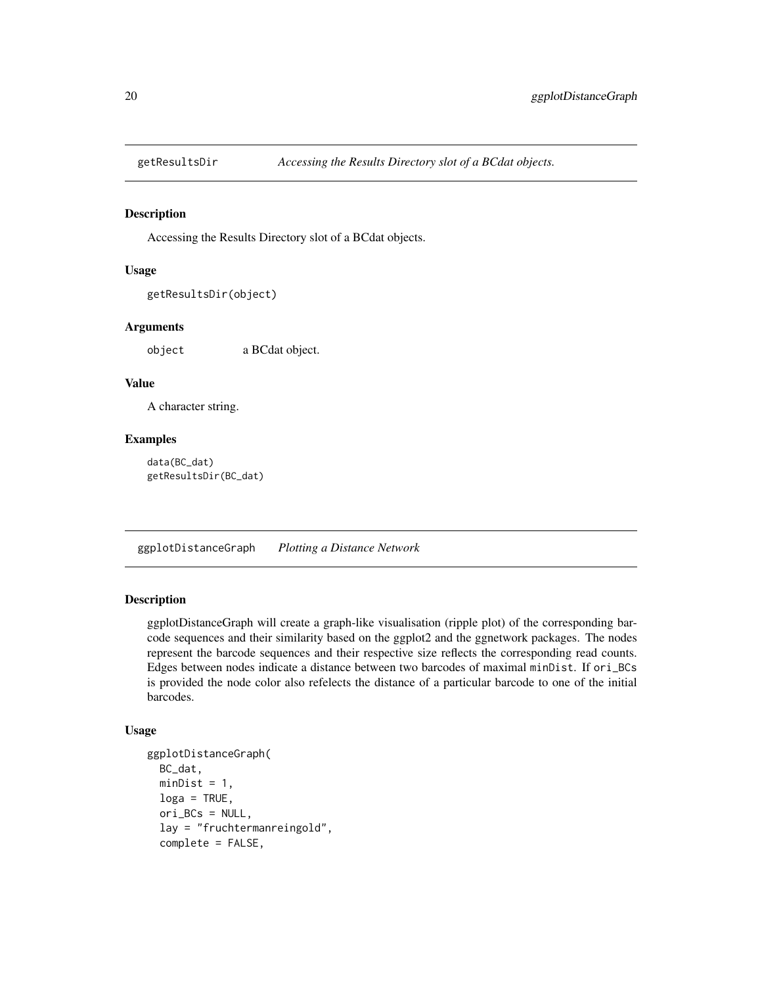<span id="page-19-0"></span>

Accessing the Results Directory slot of a BCdat objects.

#### Usage

```
getResultsDir(object)
```
#### **Arguments**

object a BCdat object.

#### Value

A character string.

#### Examples

data(BC\_dat) getResultsDir(BC\_dat)

ggplotDistanceGraph *Plotting a Distance Network*

#### Description

ggplotDistanceGraph will create a graph-like visualisation (ripple plot) of the corresponding barcode sequences and their similarity based on the ggplot2 and the ggnetwork packages. The nodes represent the barcode sequences and their respective size reflects the corresponding read counts. Edges between nodes indicate a distance between two barcodes of maximal minDist. If ori\_BCs is provided the node color also refelects the distance of a particular barcode to one of the initial barcodes.

#### Usage

```
ggplotDistanceGraph(
 BC_dat,
 minDist = 1,
  loga = TRUE,
  ori_BCs = NULL,
  lay = "fruchtermanreingold",
  complete = FALSE,
```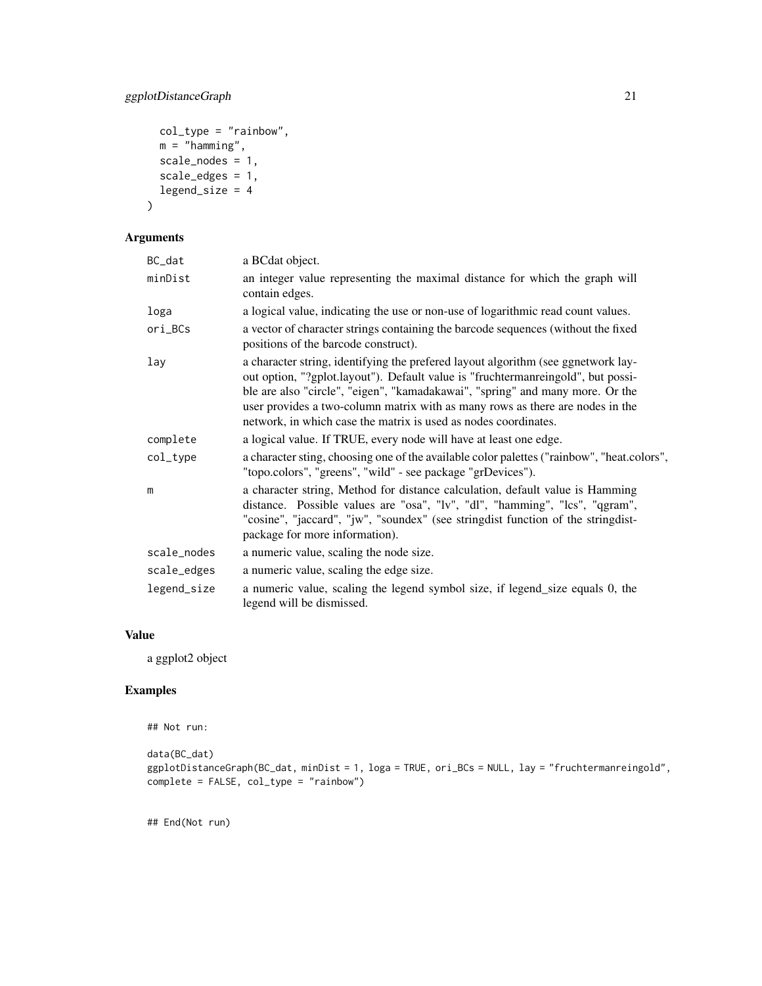```
col\_type = "rainbow",m = "hamming",scale_nodes = 1,
 scale_edges = 1,
 legend_size = 4
\mathcal{L}
```
#### Arguments

| BC_dat      | a BCdat object.                                                                                                                                                                                                                                                                                                                                                                                            |
|-------------|------------------------------------------------------------------------------------------------------------------------------------------------------------------------------------------------------------------------------------------------------------------------------------------------------------------------------------------------------------------------------------------------------------|
| minDist     | an integer value representing the maximal distance for which the graph will<br>contain edges.                                                                                                                                                                                                                                                                                                              |
| loga        | a logical value, indicating the use or non-use of logarithmic read count values.                                                                                                                                                                                                                                                                                                                           |
| ori_BCs     | a vector of character strings containing the barcode sequences (without the fixed<br>positions of the barcode construct).                                                                                                                                                                                                                                                                                  |
| lay         | a character string, identifying the prefered layout algorithm (see ggnetwork lay-<br>out option, "?gplot.layout"). Default value is "fruchtermanreingold", but possi-<br>ble are also "circle", "eigen", "kamadakawai", "spring" and many more. Or the<br>user provides a two-column matrix with as many rows as there are nodes in the<br>network, in which case the matrix is used as nodes coordinates. |
| complete    | a logical value. If TRUE, every node will have at least one edge.                                                                                                                                                                                                                                                                                                                                          |
| col_type    | a character sting, choosing one of the available color palettes ("rainbow", "heat.colors",<br>"topo.colors", "greens", "wild" - see package "grDevices").                                                                                                                                                                                                                                                  |
| m           | a character string, Method for distance calculation, default value is Hamming<br>distance. Possible values are "osa", "lv", "dl", "hamming", "lcs", "qgram",<br>"cosine", "jaccard", "jw", "soundex" (see stringdist function of the stringdist-<br>package for more information).                                                                                                                         |
| scale_nodes | a numeric value, scaling the node size.                                                                                                                                                                                                                                                                                                                                                                    |
| scale_edges | a numeric value, scaling the edge size.                                                                                                                                                                                                                                                                                                                                                                    |
| legend_size | a numeric value, scaling the legend symbol size, if legend_size equals 0, the<br>legend will be dismissed.                                                                                                                                                                                                                                                                                                 |

# Value

a ggplot2 object

#### Examples

```
## Not run:
```

```
data(BC_dat)
ggplotDistanceGraph(BC_dat, minDist = 1, loga = TRUE, ori_BCs = NULL, lay = "fruchtermanreingold",
complete = FALSE, col_type = "rainbow")
```
## End(Not run)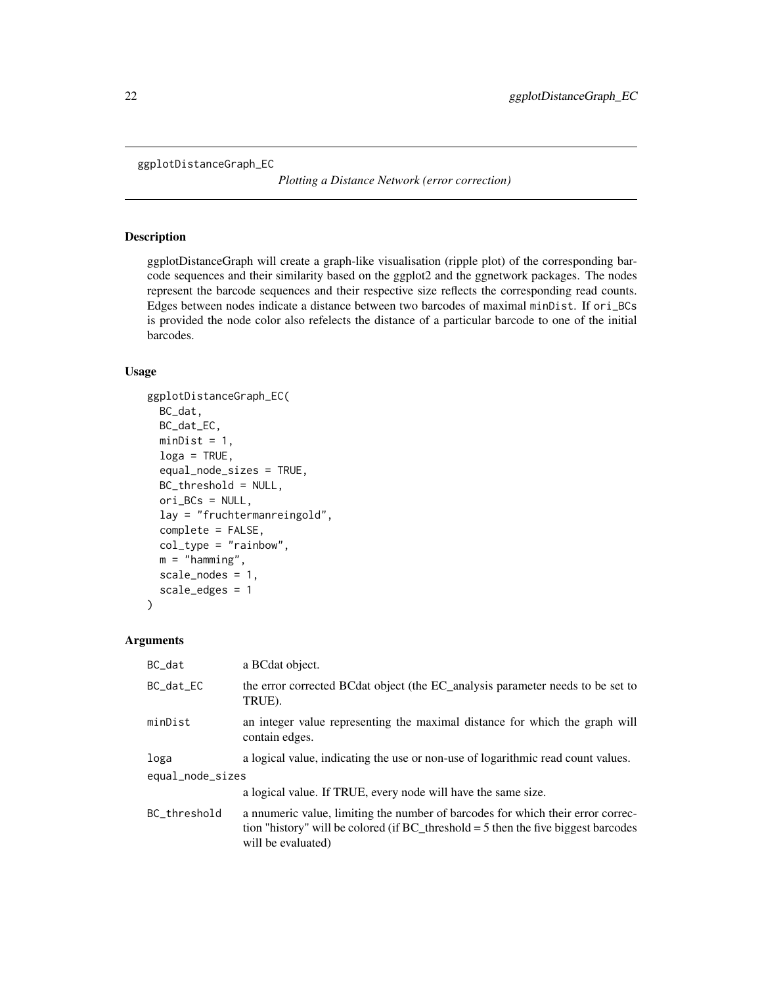```
ggplotDistanceGraph_EC
```
*Plotting a Distance Network (error correction)*

#### Description

ggplotDistanceGraph will create a graph-like visualisation (ripple plot) of the corresponding barcode sequences and their similarity based on the ggplot2 and the ggnetwork packages. The nodes represent the barcode sequences and their respective size reflects the corresponding read counts. Edges between nodes indicate a distance between two barcodes of maximal minDist. If ori\_BCs is provided the node color also refelects the distance of a particular barcode to one of the initial barcodes.

#### Usage

```
ggplotDistanceGraph_EC(
 BC_dat,
 BC_dat_EC,
 minDist = 1,
  log a = TRUE,equal_node_sizes = TRUE,
  BC_threshold = NULL,
 ori_BCs = NULL,
  lay = "fruchtermanreingold",
  complete = FALSE,
  col_type = "rainbow",m ="hamming",
  scale_nodes = 1,
  scale_edges = 1
)
```
#### Arguments

| BC_dat           | a BCdat object.                                                                                                                                                                               |  |
|------------------|-----------------------------------------------------------------------------------------------------------------------------------------------------------------------------------------------|--|
| BC_dat_EC        | the error corrected BCdat object (the EC_analysis parameter needs to be set to<br>TRUE).                                                                                                      |  |
| minDist          | an integer value representing the maximal distance for which the graph will<br>contain edges.                                                                                                 |  |
| loga             | a logical value, indicating the use or non-use of logarithmic read count values.                                                                                                              |  |
| equal_node_sizes |                                                                                                                                                                                               |  |
|                  | a logical value. If TRUE, every node will have the same size.                                                                                                                                 |  |
| BC_threshold     | a nnumeric value, limiting the number of barcodes for which their error correc-<br>tion "history" will be colored (if $BC$ threshold = 5 then the five biggest barcodes<br>will be evaluated) |  |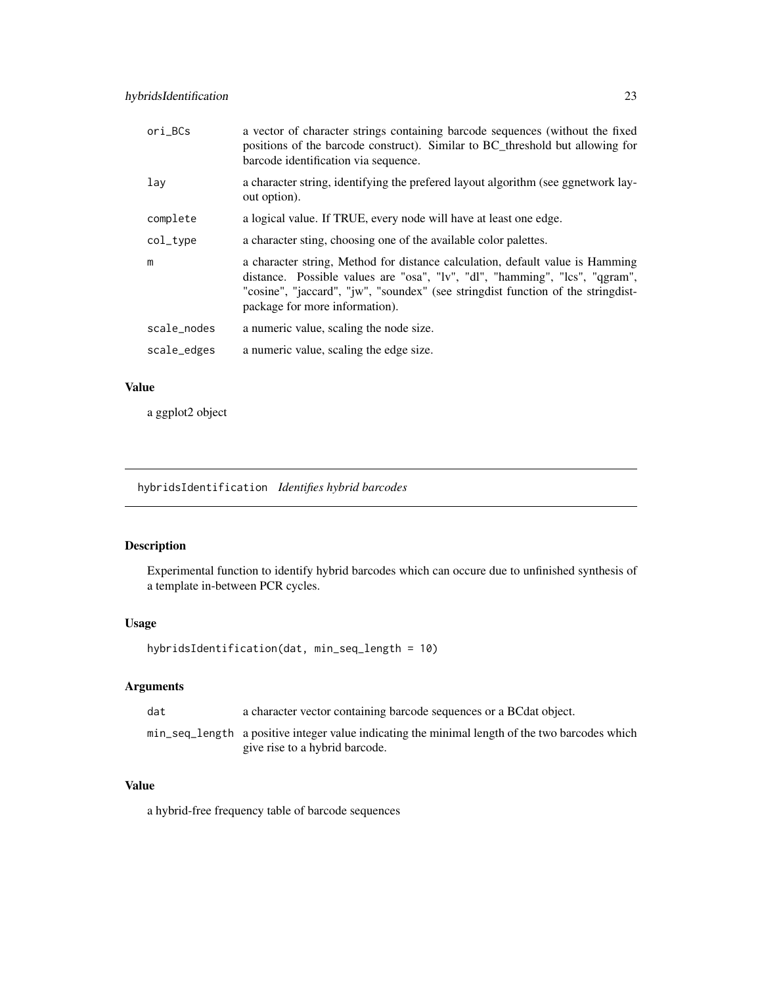<span id="page-22-0"></span>

| ori_BCs     | a vector of character strings containing barcode sequences (without the fixed<br>positions of the barcode construct). Similar to BC_threshold but allowing for<br>barcode identification via sequence.                                                                             |
|-------------|------------------------------------------------------------------------------------------------------------------------------------------------------------------------------------------------------------------------------------------------------------------------------------|
| lay         | a character string, identifying the preferred layout algorithm (see ggnetwork lay-<br>out option).                                                                                                                                                                                 |
| complete    | a logical value. If TRUE, every node will have at least one edge.                                                                                                                                                                                                                  |
| col_type    | a character sting, choosing one of the available color palettes.                                                                                                                                                                                                                   |
| m           | a character string, Method for distance calculation, default value is Hamming<br>distance. Possible values are "osa", "lv", "dl", "hamming", "lcs", "qgram",<br>"cosine", "jaccard", "jw", "soundex" (see stringdist function of the stringdist-<br>package for more information). |
| scale_nodes | a numeric value, scaling the node size.                                                                                                                                                                                                                                            |
| scale_edges | a numeric value, scaling the edge size.                                                                                                                                                                                                                                            |

#### Value

a ggplot2 object

hybridsIdentification *Identifies hybrid barcodes*

#### Description

Experimental function to identify hybrid barcodes which can occure due to unfinished synthesis of a template in-between PCR cycles.

#### Usage

```
hybridsIdentification(dat, min_seq_length = 10)
```
#### Arguments

| dat | a character vector containing barcode sequences or a BC dat object.                                                               |
|-----|-----------------------------------------------------------------------------------------------------------------------------------|
|     | min_seq_length a positive integer value indicating the minimal length of the two barcodes which<br>give rise to a hybrid barcode. |

#### Value

a hybrid-free frequency table of barcode sequences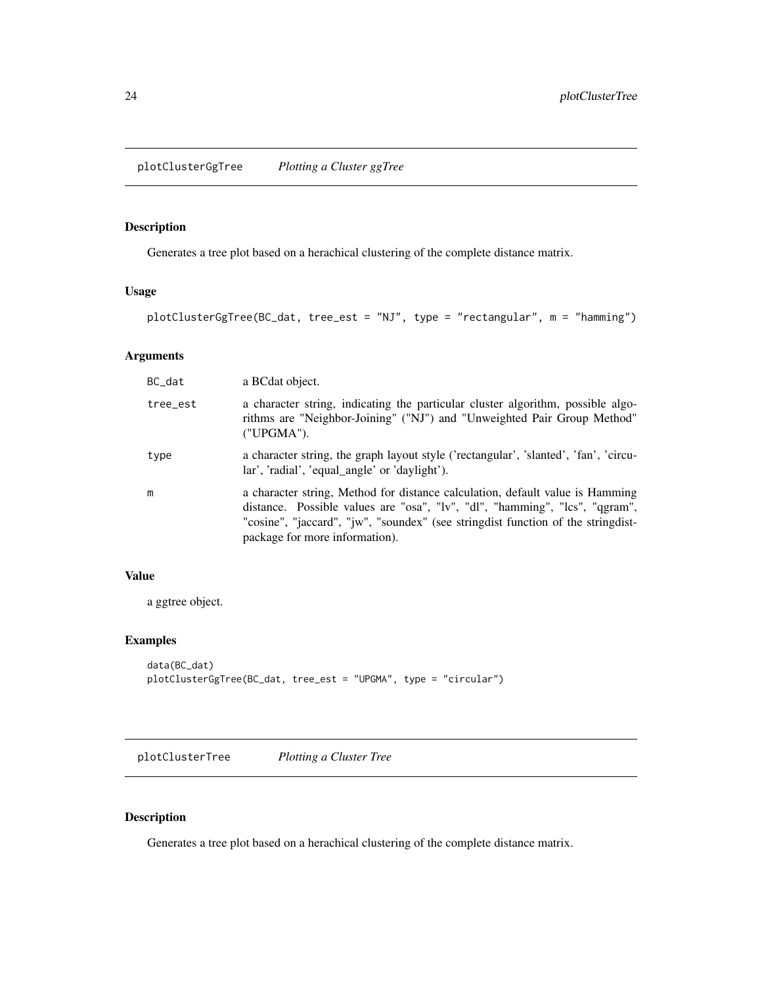<span id="page-23-0"></span>Generates a tree plot based on a herachical clustering of the complete distance matrix.

#### Usage

```
plotClusterGgTree(BC_dat, tree_est = "NJ", type = "rectangular", m = "hamming")
```
# Arguments

| BC_dat   | a BCdat object.                                                                                                                                                                                                                                                                    |
|----------|------------------------------------------------------------------------------------------------------------------------------------------------------------------------------------------------------------------------------------------------------------------------------------|
| tree_est | a character string, indicating the particular cluster algorithm, possible algo-<br>rithms are "Neighbor-Joining" ("NJ") and "Unweighted Pair Group Method"<br>("UPGMA").                                                                                                           |
| type     | a character string, the graph layout style ('rectangular', 'slanted', 'fan', 'circu-<br>lar', 'radial', 'equal angle' or 'daylight').                                                                                                                                              |
| m        | a character string, Method for distance calculation, default value is Hamming<br>distance. Possible values are "osa", "lv", "dl", "hamming", "lcs", "qgram",<br>"cosine", "jaccard", "jw", "soundex" (see stringdist function of the stringdist-<br>package for more information). |

# Value

a ggtree object.

#### Examples

```
data(BC_dat)
plotClusterGgTree(BC_dat, tree_est = "UPGMA", type = "circular")
```
plotClusterTree *Plotting a Cluster Tree*

#### Description

Generates a tree plot based on a herachical clustering of the complete distance matrix.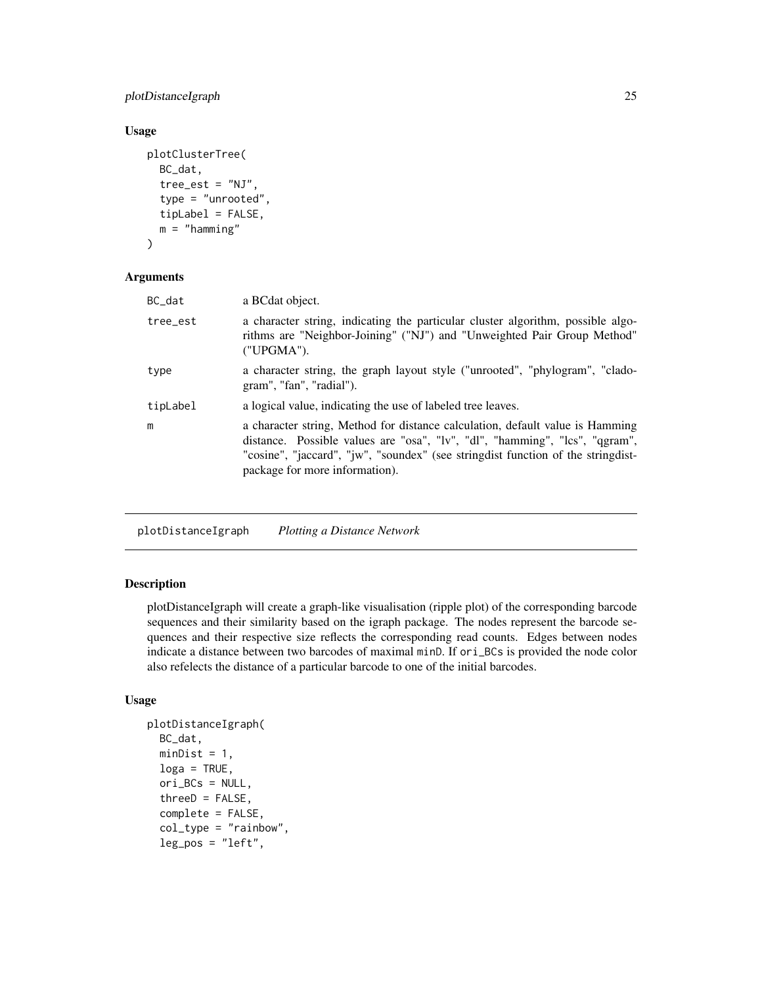#### <span id="page-24-0"></span>plotDistanceIgraph 25

#### Usage

```
plotClusterTree(
  BC_dat,
  tree\_est = "NJ",type = "unrooted",
  tipLabel = FALSE,
  m = "hamming")
```
#### Arguments

| BC dat   | a BCdat object.                                                                                                                                                                                                                                                                    |
|----------|------------------------------------------------------------------------------------------------------------------------------------------------------------------------------------------------------------------------------------------------------------------------------------|
| tree_est | a character string, indicating the particular cluster algorithm, possible algo-<br>rithms are "Neighbor-Joining" ("NJ") and "Unweighted Pair Group Method"<br>("UPGMA").                                                                                                           |
| type     | a character string, the graph layout style ("unrooted", "phylogram", "clado-<br>gram", "fan", "radial").                                                                                                                                                                           |
| tipLabel | a logical value, indicating the use of labeled tree leaves.                                                                                                                                                                                                                        |
| m        | a character string, Method for distance calculation, default value is Hamming<br>distance. Possible values are "osa", "lv", "dl", "hamming", "lcs", "qgram",<br>"cosine", "jaccard", "jw", "soundex" (see stringdist function of the stringdist-<br>package for more information). |

plotDistanceIgraph *Plotting a Distance Network*

### Description

plotDistanceIgraph will create a graph-like visualisation (ripple plot) of the corresponding barcode sequences and their similarity based on the igraph package. The nodes represent the barcode sequences and their respective size reflects the corresponding read counts. Edges between nodes indicate a distance between two barcodes of maximal minD. If ori\_BCs is provided the node color also refelects the distance of a particular barcode to one of the initial barcodes.

#### Usage

```
plotDistanceIgraph(
  BC_dat,
  minDist = 1,
  loga = TRUE,
  ori_BCs = NULL,
  threeD = FALSE,complete = FALSE,
  col_type = "rainbow",
  leg_pos = "left",
```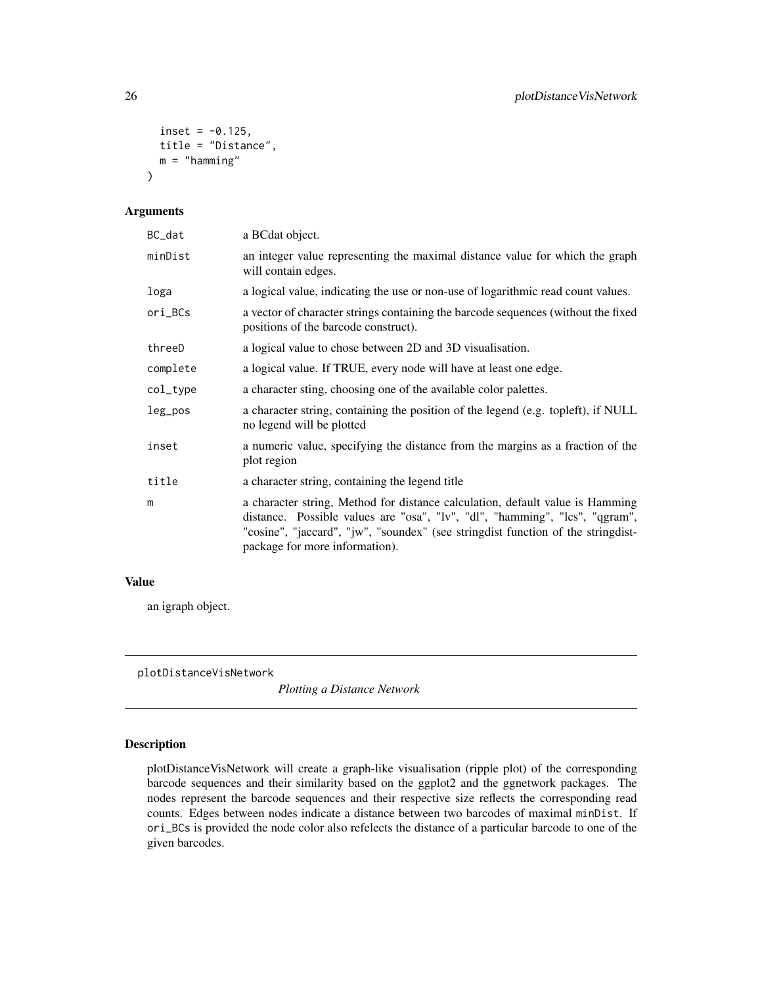```
inset = -0.125,title = "Distance",
 m ="hamming"
)
```
#### Arguments

| BC_dat   | a BCdat object.                                                                                                                                                                                                                                                                    |
|----------|------------------------------------------------------------------------------------------------------------------------------------------------------------------------------------------------------------------------------------------------------------------------------------|
| minDist  | an integer value representing the maximal distance value for which the graph<br>will contain edges.                                                                                                                                                                                |
| loga     | a logical value, indicating the use or non-use of logarithmic read count values.                                                                                                                                                                                                   |
| ori_BCs  | a vector of character strings containing the barcode sequences (without the fixed<br>positions of the barcode construct).                                                                                                                                                          |
| threeD   | a logical value to chose between 2D and 3D visualisation.                                                                                                                                                                                                                          |
| complete | a logical value. If TRUE, every node will have at least one edge.                                                                                                                                                                                                                  |
| col_type | a character sting, choosing one of the available color palettes.                                                                                                                                                                                                                   |
| leg_pos  | a character string, containing the position of the legend (e.g. topleft), if NULL<br>no legend will be plotted                                                                                                                                                                     |
| inset    | a numeric value, specifying the distance from the margins as a fraction of the<br>plot region                                                                                                                                                                                      |
| title    | a character string, containing the legend title                                                                                                                                                                                                                                    |
| m        | a character string, Method for distance calculation, default value is Hamming<br>distance. Possible values are "osa", "lv", "dl", "hamming", "lcs", "qgram",<br>"cosine", "jaccard", "jw", "soundex" (see stringdist function of the stringdist-<br>package for more information). |

#### Value

an igraph object.

plotDistanceVisNetwork

*Plotting a Distance Network*

# Description

plotDistanceVisNetwork will create a graph-like visualisation (ripple plot) of the corresponding barcode sequences and their similarity based on the ggplot2 and the ggnetwork packages. The nodes represent the barcode sequences and their respective size reflects the corresponding read counts. Edges between nodes indicate a distance between two barcodes of maximal minDist. If ori\_BCs is provided the node color also refelects the distance of a particular barcode to one of the given barcodes.

<span id="page-25-0"></span>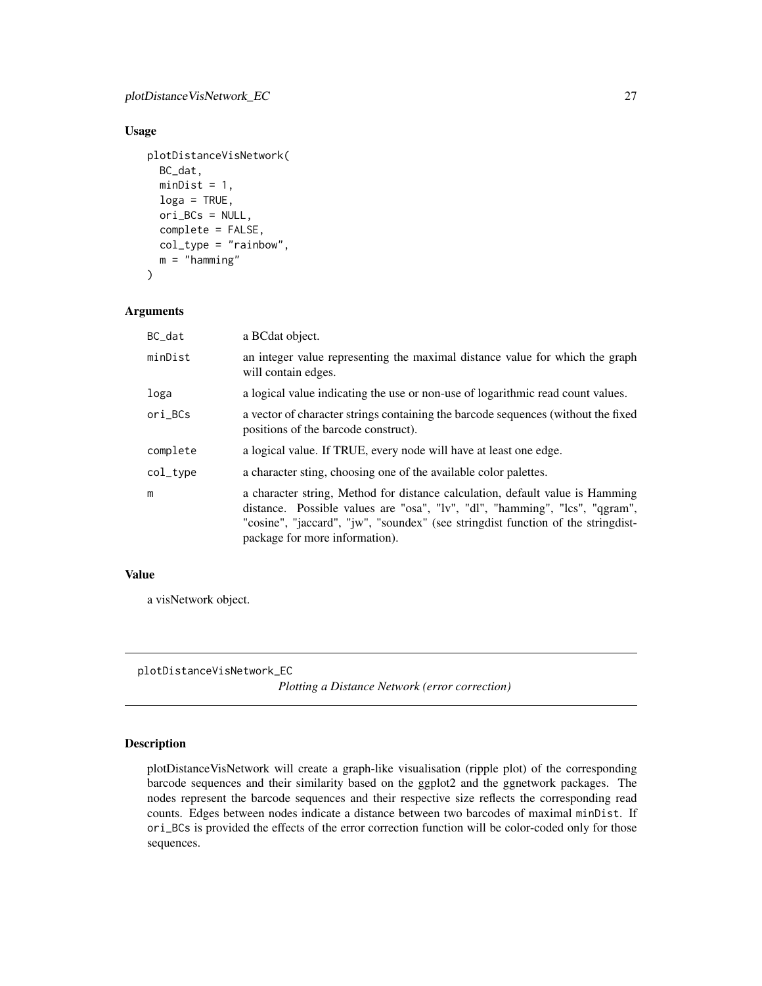#### <span id="page-26-0"></span>Usage

```
plotDistanceVisNetwork(
 BC_dat,
  minDist = 1,
  log a = TRUE,ori_BCs = NULL,
  complete = FALSE,
  col_type = "rainbow",
  m = "hamming"\mathcal{L}
```
#### Arguments

| BC_dat   | a BCdat object.                                                                                                                                                                                                                                                                      |
|----------|--------------------------------------------------------------------------------------------------------------------------------------------------------------------------------------------------------------------------------------------------------------------------------------|
| minDist  | an integer value representing the maximal distance value for which the graph<br>will contain edges.                                                                                                                                                                                  |
| loga     | a logical value indicating the use or non-use of logarithmic read count values.                                                                                                                                                                                                      |
| ori_BCs  | a vector of character strings containing the barcode sequences (without the fixed<br>positions of the barcode construct).                                                                                                                                                            |
| complete | a logical value. If TRUE, every node will have at least one edge.                                                                                                                                                                                                                    |
| col_type | a character sting, choosing one of the available color palettes.                                                                                                                                                                                                                     |
| m        | a character string, Method for distance calculation, default value is Hamming<br>distance. Possible values are "osa", "lv", "dl", "hamming", "lcs", "qgram",<br>"cosine", "jaccard", "jw", "soundex" (see string dist function of the string dist-<br>package for more information). |

#### Value

a visNetwork object.

plotDistanceVisNetwork\_EC

*Plotting a Distance Network (error correction)*

#### Description

plotDistanceVisNetwork will create a graph-like visualisation (ripple plot) of the corresponding barcode sequences and their similarity based on the ggplot2 and the ggnetwork packages. The nodes represent the barcode sequences and their respective size reflects the corresponding read counts. Edges between nodes indicate a distance between two barcodes of maximal minDist. If ori\_BCs is provided the effects of the error correction function will be color-coded only for those sequences.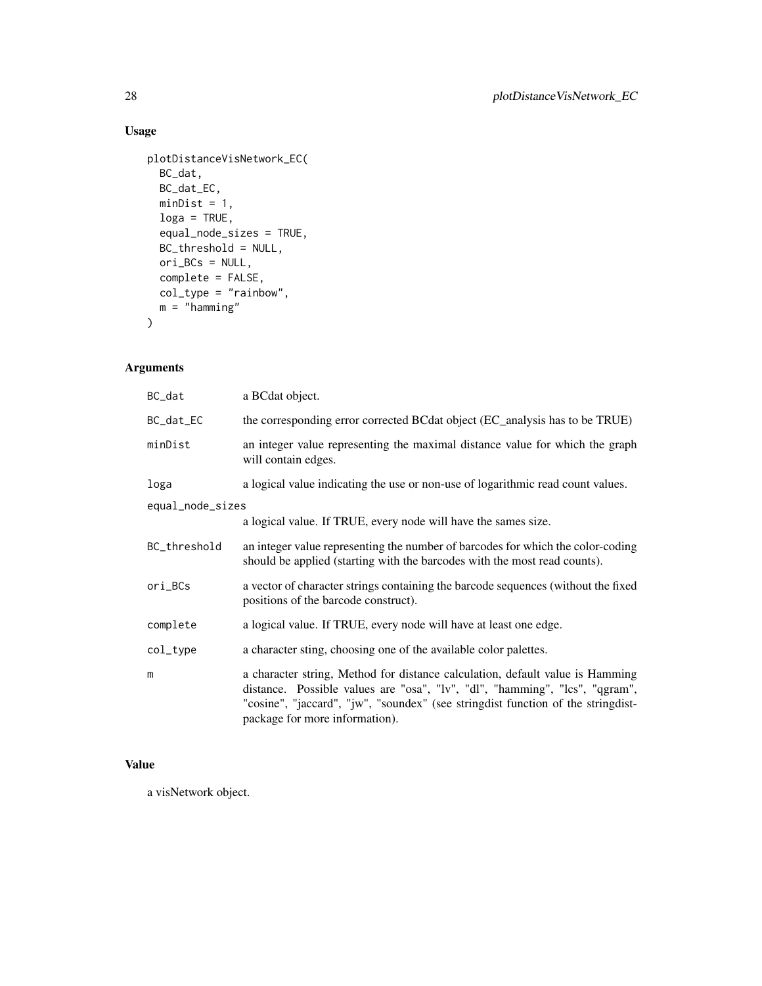# Usage

```
plotDistanceVisNetwork_EC(
  BC_dat,
  BC_dat_EC,
  minDist = 1,
  loga = TRUE,equal_node_sizes = TRUE,
  BC_threshold = NULL,
  ori_BCs = NULL,
  complete = FALSE,
  col_type = "rainbow",
  m = "hamming"
\overline{\phantom{a}}
```
# Arguments

| BC_dat           | a BCdat object.                                                                                                                                                                                                                                                                    |
|------------------|------------------------------------------------------------------------------------------------------------------------------------------------------------------------------------------------------------------------------------------------------------------------------------|
| BC_dat_EC        | the corresponding error corrected BCdat object (EC_analysis has to be TRUE)                                                                                                                                                                                                        |
| minDist          | an integer value representing the maximal distance value for which the graph<br>will contain edges.                                                                                                                                                                                |
| loga             | a logical value indicating the use or non-use of logarithmic read count values.                                                                                                                                                                                                    |
| equal_node_sizes |                                                                                                                                                                                                                                                                                    |
|                  | a logical value. If TRUE, every node will have the sames size.                                                                                                                                                                                                                     |
| BC_threshold     | an integer value representing the number of barcodes for which the color-coding<br>should be applied (starting with the barcodes with the most read counts).                                                                                                                       |
| ori_BCs          | a vector of character strings containing the barcode sequences (without the fixed<br>positions of the barcode construct).                                                                                                                                                          |
| complete         | a logical value. If TRUE, every node will have at least one edge.                                                                                                                                                                                                                  |
| col_type         | a character sting, choosing one of the available color palettes.                                                                                                                                                                                                                   |
| m                | a character string, Method for distance calculation, default value is Hamming<br>distance. Possible values are "osa", "lv", "dl", "hamming", "lcs", "qgram",<br>"cosine", "jaccard", "jw", "soundex" (see stringdist function of the stringdist-<br>package for more information). |

# Value

a visNetwork object.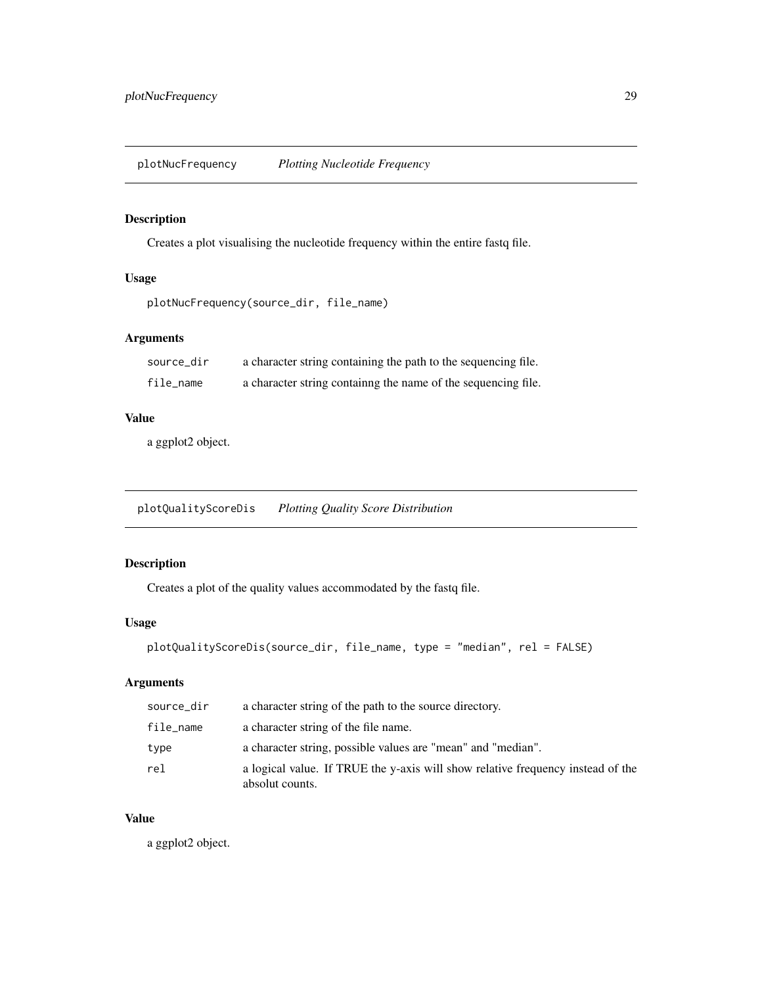<span id="page-28-0"></span>plotNucFrequency *Plotting Nucleotide Frequency*

# Description

Creates a plot visualising the nucleotide frequency within the entire fastq file.

#### Usage

```
plotNucFrequency(source_dir, file_name)
```
#### Arguments

| source dir | a character string containing the path to the sequencing file. |
|------------|----------------------------------------------------------------|
| file_name  | a character string containing the name of the sequencing file. |

# Value

a ggplot2 object.

plotQualityScoreDis *Plotting Quality Score Distribution*

# Description

Creates a plot of the quality values accommodated by the fastq file.

#### Usage

```
plotQualityScoreDis(source_dir, file_name, type = "median", rel = FALSE)
```
# Arguments

| source_dir | a character string of the path to the source directory.                                            |
|------------|----------------------------------------------------------------------------------------------------|
| file_name  | a character string of the file name.                                                               |
| type       | a character string, possible values are "mean" and "median".                                       |
| rel        | a logical value. If TRUE the y-axis will show relative frequency instead of the<br>absolut counts. |

#### Value

a ggplot2 object.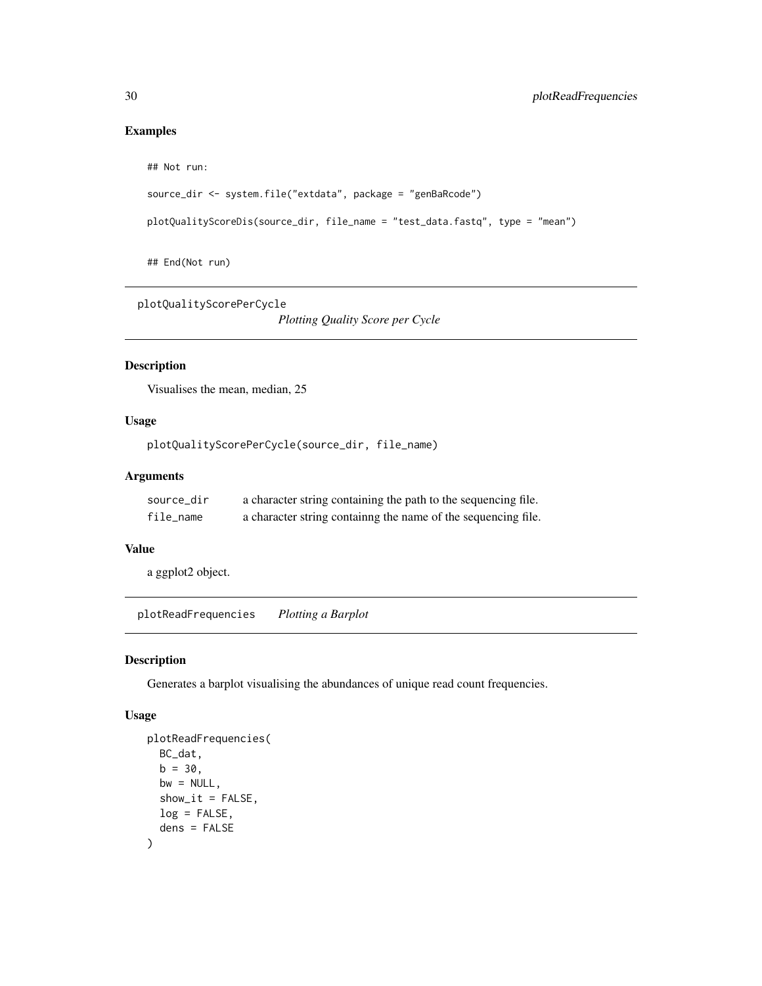#### Examples

## Not run:

```
source_dir <- system.file("extdata", package = "genBaRcode")
```

```
plotQualityScoreDis(source_dir, file_name = "test_data.fastq", type = "mean")
```
## End(Not run)

plotQualityScorePerCycle

*Plotting Quality Score per Cycle*

#### Description

Visualises the mean, median, 25

#### Usage

```
plotQualityScorePerCycle(source_dir, file_name)
```
#### Arguments

| source dir | a character string containing the path to the sequencing file. |
|------------|----------------------------------------------------------------|
| file name  | a character string containing the name of the sequencing file. |

#### Value

a ggplot2 object.

plotReadFrequencies *Plotting a Barplot*

#### Description

Generates a barplot visualising the abundances of unique read count frequencies.

# Usage

```
plotReadFrequencies(
 BC_dat,
 b = 30,
 bw = NULL,show\_it = FALSE,log = FALSE,
  dens = FALSE
)
```
<span id="page-29-0"></span>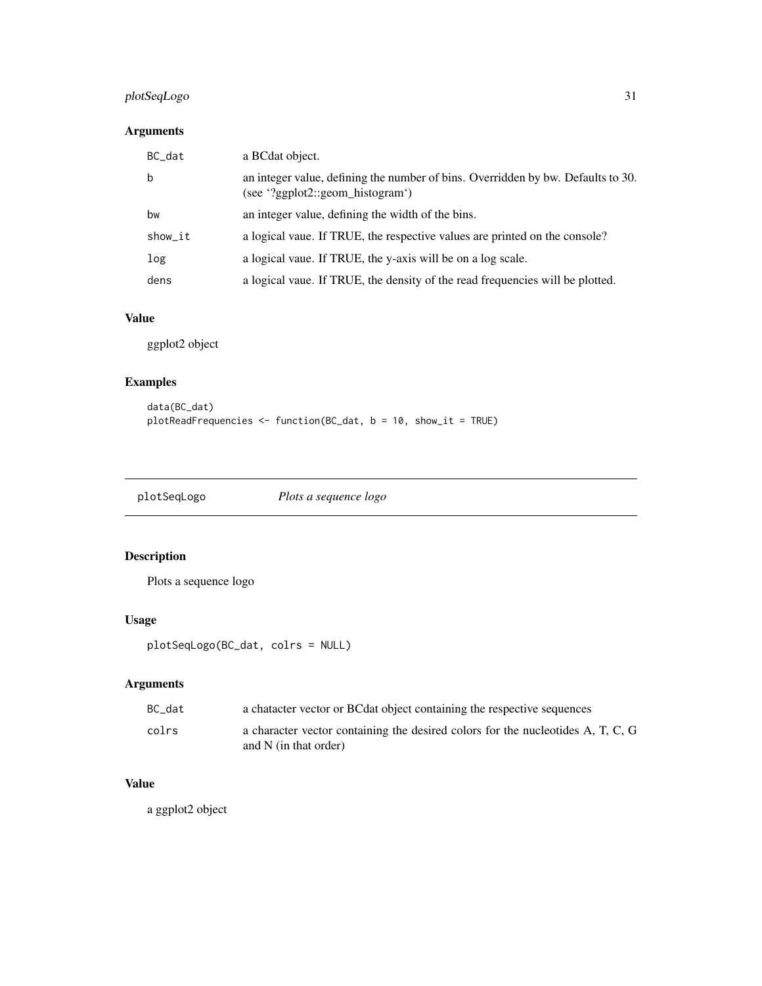# <span id="page-30-0"></span>plotSeqLogo 31

# Arguments

| BC dat  | a BCdat object.                                                                                                      |
|---------|----------------------------------------------------------------------------------------------------------------------|
| b       | an integer value, defining the number of bins. Overridden by bw. Defaults to 30.<br>(see '?ggplot2::geom_histogram') |
| bw      | an integer value, defining the width of the bins.                                                                    |
| show_it | a logical vaue. If TRUE, the respective values are printed on the console?                                           |
| log     | a logical vaue. If TRUE, the y-axis will be on a log scale.                                                          |
| dens    | a logical vaue. If TRUE, the density of the read frequencies will be plotted.                                        |

#### Value

ggplot2 object

# Examples

```
data(BC_dat)
plotReadFrequencies <- function(BC_dat, b = 10, show_it = TRUE)
```

| Plots a sequence logo | plotSeqLogo |
|-----------------------|-------------|
|                       |             |

# Description

Plots a sequence logo

# Usage

```
plotSeqLogo(BC_dat, colrs = NULL)
```
# Arguments

| BC dat | a character vector or BC dat object containing the respective sequences                                    |
|--------|------------------------------------------------------------------------------------------------------------|
| colrs  | a character vector containing the desired colors for the nucleotides A, T, C, G<br>and $N$ (in that order) |

# Value

a ggplot2 object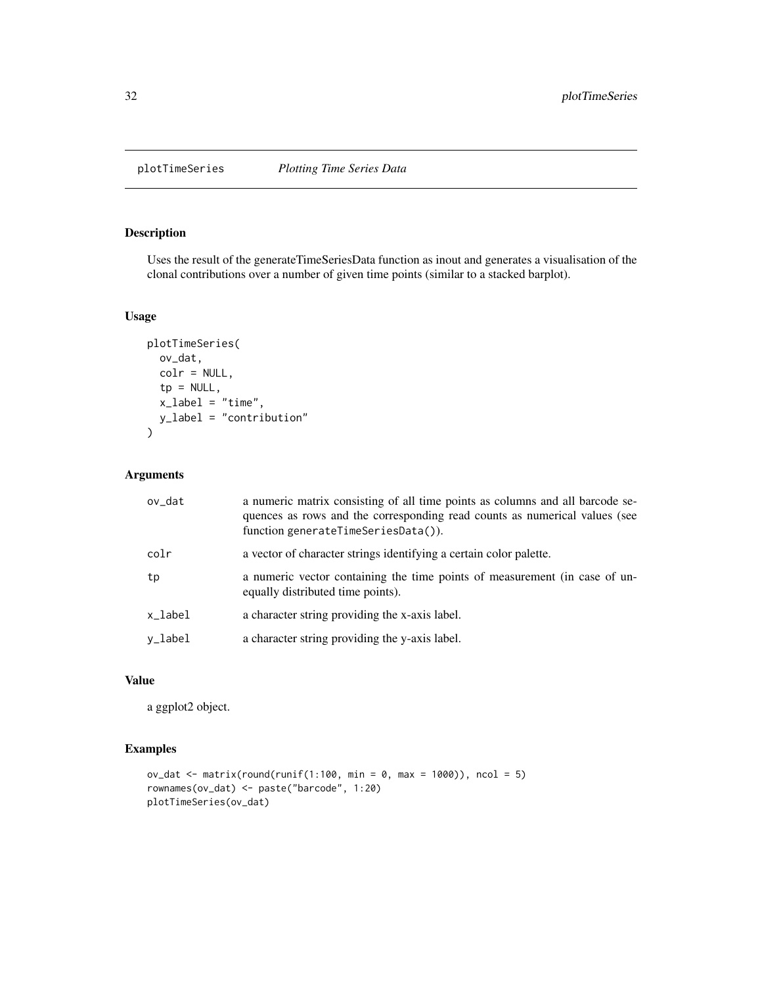<span id="page-31-0"></span>

Uses the result of the generateTimeSeriesData function as inout and generates a visualisation of the clonal contributions over a number of given time points (similar to a stacked barplot).

#### Usage

```
plotTimeSeries(
  ov_dat,
  colr = NULL,
  tp = NULL,x<sup>-</sup>label = "time",
  y_label = "contribution"
\mathcal{L}
```
#### Arguments

| ov_dat  | a numeric matrix consisting of all time points as columns and all barcode se-<br>quences as rows and the corresponding read counts as numerical values (see<br>function generateTimeSeriesData()). |
|---------|----------------------------------------------------------------------------------------------------------------------------------------------------------------------------------------------------|
| colr    | a vector of character strings identifying a certain color palette.                                                                                                                                 |
| tp      | a numeric vector containing the time points of measurement (in case of un-<br>equally distributed time points).                                                                                    |
| x_label | a character string providing the x-axis label.                                                                                                                                                     |
| y_label | a character string providing the y-axis label.                                                                                                                                                     |

#### Value

a ggplot2 object.

#### Examples

```
ov_dat <- matrix(round(runif(1:100, min = 0, max = 1000)), ncol = 5)
rownames(ov_dat) <- paste("barcode", 1:20)
plotTimeSeries(ov_dat)
```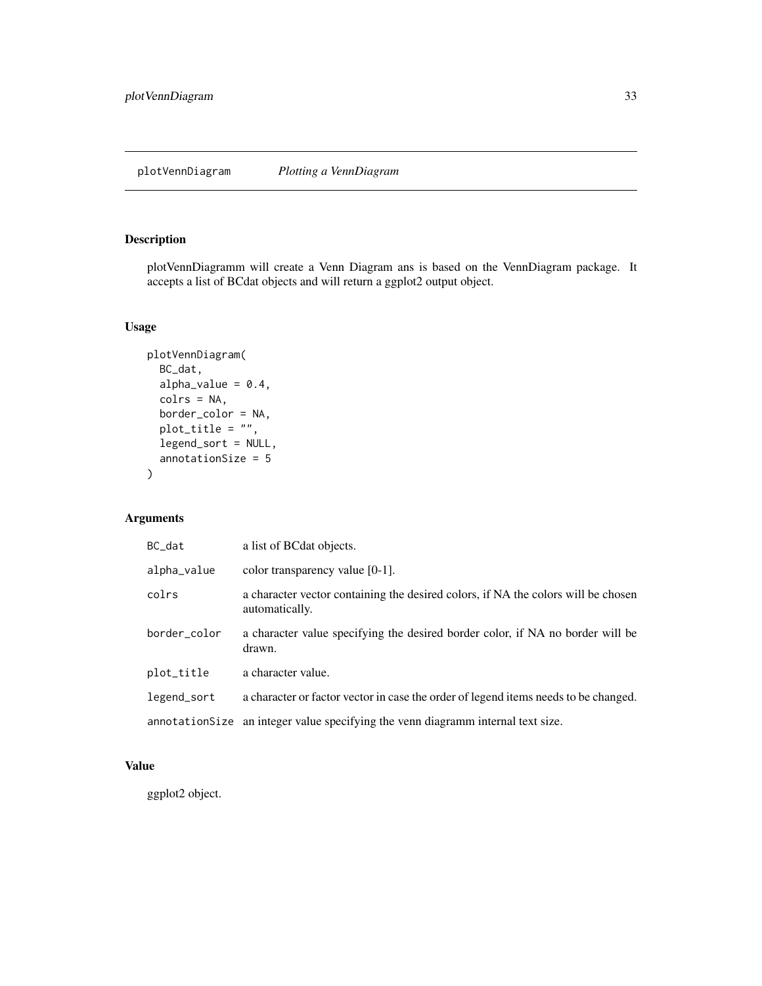<span id="page-32-0"></span>plotVennDiagramm will create a Venn Diagram ans is based on the VennDiagram package. It accepts a list of BCdat objects and will return a ggplot2 output object.

#### Usage

```
plotVennDiagram(
  BC_dat,
  alpha_value = 0.4,
  colrs = NA,
  border_color = NA,
  plot\_title = "",legend_sort = NULL,
  annotationSize = 5
)
```
# Arguments

| BC_dat       | a list of BC dat objects.                                                                           |
|--------------|-----------------------------------------------------------------------------------------------------|
| alpha_value  | color transparency value [0-1].                                                                     |
| colrs        | a character vector containing the desired colors, if NA the colors will be chosen<br>automatically. |
| border_color | a character value specifying the desired border color, if NA no border will be<br>drawn.            |
| plot_title   | a character value.                                                                                  |
| legend_sort  | a character or factor vector in case the order of legend items needs to be changed.                 |
|              | annotation Size an integer value specifying the venn diagramm internal text size.                   |

#### Value

ggplot2 object.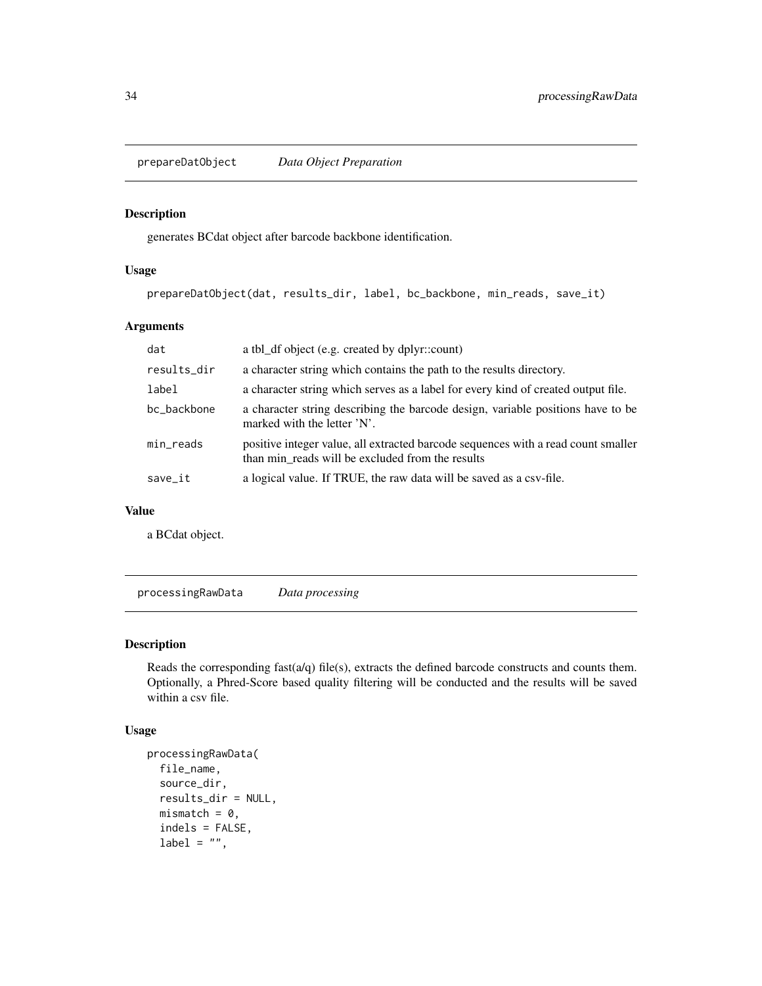<span id="page-33-0"></span>prepareDatObject *Data Object Preparation*

#### Description

generates BCdat object after barcode backbone identification.

#### Usage

prepareDatObject(dat, results\_dir, label, bc\_backbone, min\_reads, save\_it)

#### Arguments

| dat         | a tbl_df object (e.g. created by dplyr::count)                                                                                        |
|-------------|---------------------------------------------------------------------------------------------------------------------------------------|
| results_dir | a character string which contains the path to the results directory.                                                                  |
| label       | a character string which serves as a label for every kind of created output file.                                                     |
| bc backbone | a character string describing the barcode design, variable positions have to be<br>marked with the letter 'N'.                        |
| min_reads   | positive integer value, all extracted barcode sequences with a read count smaller<br>than min reads will be excluded from the results |
| save_it     | a logical value. If TRUE, the raw data will be saved as a csv-file.                                                                   |

#### Value

a BCdat object.

processingRawData *Data processing*

#### Description

Reads the corresponding fast $(a/q)$  file(s), extracts the defined barcode constructs and counts them. Optionally, a Phred-Score based quality filtering will be conducted and the results will be saved within a csv file.

#### Usage

```
processingRawData(
  file_name,
  source_dir,
  results_dir = NULL,
  mismatch = 0,
  indels = FALSE,
  label = "",
```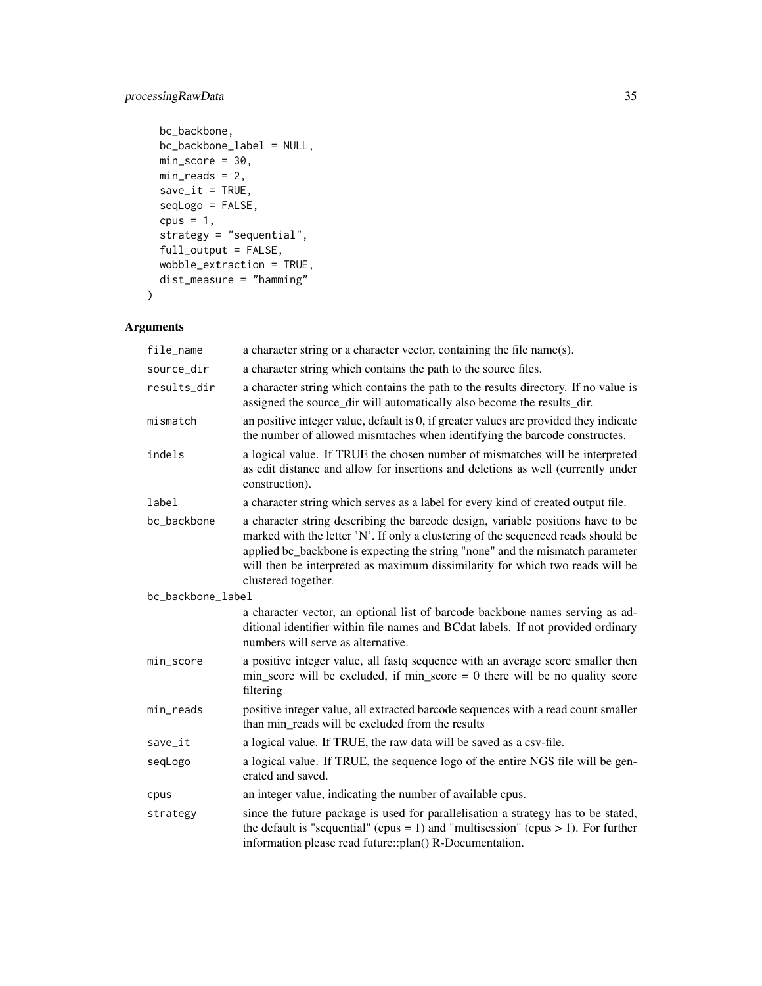# processingRawData 35

```
bc_backbone,
 bc_backbone_label = NULL,
 min\_score = 30,
 min\_reads = 2,
 save\_it = TRUE,seqLogo = FALSE,
 cpus = 1,strategy = "sequential",
 full_output = FALSE,
 wobble_extraction = TRUE,
 dist_measure = "hamming"
\mathcal{L}
```
# Arguments

| file_name         | a character string or a character vector, containing the file name(s).                                                                                                                                                                                                                                                                                        |  |
|-------------------|---------------------------------------------------------------------------------------------------------------------------------------------------------------------------------------------------------------------------------------------------------------------------------------------------------------------------------------------------------------|--|
| source_dir        | a character string which contains the path to the source files.                                                                                                                                                                                                                                                                                               |  |
| results_dir       | a character string which contains the path to the results directory. If no value is<br>assigned the source_dir will automatically also become the results_dir.                                                                                                                                                                                                |  |
| mismatch          | an positive integer value, default is 0, if greater values are provided they indicate<br>the number of allowed mismtaches when identifying the barcode constructes.                                                                                                                                                                                           |  |
| indels            | a logical value. If TRUE the chosen number of mismatches will be interpreted<br>as edit distance and allow for insertions and deletions as well (currently under<br>construction).                                                                                                                                                                            |  |
| label             | a character string which serves as a label for every kind of created output file.                                                                                                                                                                                                                                                                             |  |
| bc_backbone       | a character string describing the barcode design, variable positions have to be<br>marked with the letter 'N'. If only a clustering of the sequenced reads should be<br>applied bc_backbone is expecting the string "none" and the mismatch parameter<br>will then be interpreted as maximum dissimilarity for which two reads will be<br>clustered together. |  |
| bc_backbone_label |                                                                                                                                                                                                                                                                                                                                                               |  |
|                   | a character vector, an optional list of barcode backbone names serving as ad-<br>ditional identifier within file names and BCdat labels. If not provided ordinary<br>numbers will serve as alternative.                                                                                                                                                       |  |
| min_score         | a positive integer value, all fastq sequence with an average score smaller then<br>$min\_score$ will be excluded, if $min\_score = 0$ there will be no quality score<br>filtering                                                                                                                                                                             |  |
| min_reads         | positive integer value, all extracted barcode sequences with a read count smaller<br>than min reads will be excluded from the results                                                                                                                                                                                                                         |  |
| save_it           | a logical value. If TRUE, the raw data will be saved as a csv-file.                                                                                                                                                                                                                                                                                           |  |
| seqLogo           | a logical value. If TRUE, the sequence logo of the entire NGS file will be gen-<br>erated and saved.                                                                                                                                                                                                                                                          |  |
| cpus              | an integer value, indicating the number of available cpus.                                                                                                                                                                                                                                                                                                    |  |
| strategy          | since the future package is used for parallelisation a strategy has to be stated,<br>the default is "sequential" (cpus = 1) and "multisession" (cpus $> 1$ ). For further<br>information please read future::plan() R-Documentation.                                                                                                                          |  |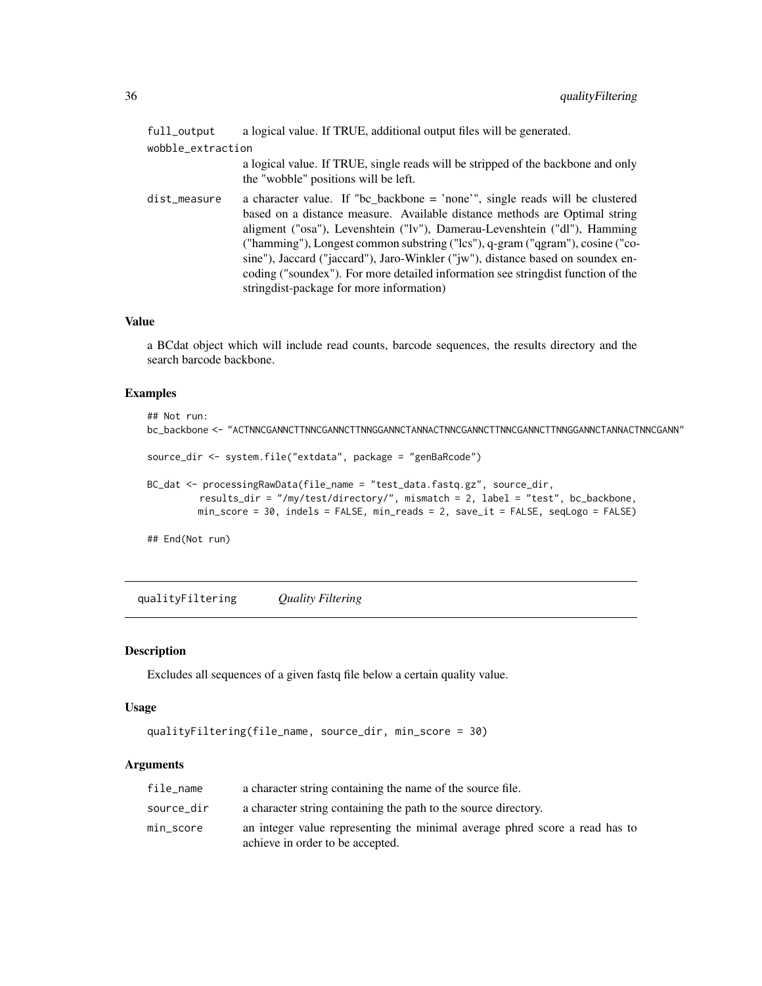<span id="page-35-0"></span>

| full_output       | a logical value. If TRUE, additional output files will be generated.                                                                                                                                                                                                                                                                                                                                                                                                                                                                         |  |
|-------------------|----------------------------------------------------------------------------------------------------------------------------------------------------------------------------------------------------------------------------------------------------------------------------------------------------------------------------------------------------------------------------------------------------------------------------------------------------------------------------------------------------------------------------------------------|--|
| wobble_extraction |                                                                                                                                                                                                                                                                                                                                                                                                                                                                                                                                              |  |
|                   | a logical value. If TRUE, single reads will be stripped of the backbone and only<br>the "wobble" positions will be left.                                                                                                                                                                                                                                                                                                                                                                                                                     |  |
| dist_measure      | a character value. If "bc_backbone = 'none'", single reads will be clustered<br>based on a distance measure. Available distance methods are Optimal string<br>aligment ("osa"), Levenshtein ("lv"), Damerau-Levenshtein ("dl"), Hamming<br>("hamming"), Longest common substring ("lcs"), q-gram ("qgram"), cosine ("co-<br>sine"), Jaccard ("jaccard"), Jaro-Winkler ("jw"), distance based on soundex en-<br>coding ("soundex"). For more detailed information see string dist function of the<br>stringdist-package for more information) |  |

#### Value

a BCdat object which will include read counts, barcode sequences, the results directory and the search barcode backbone.

#### Examples

```
## Not run:
bc_backbone <- "ACTNNCGANNCTTNNCGANNCTTNNGGANNCTANNACTNNCGANNCTTNNCGANNCTTNNGGANNCTANNACTNNCGANN"
source_dir <- system.file("extdata", package = "genBaRcode")
BC_dat <- processingRawData(file_name = "test_data.fastq.gz", source_dir,
         results_dir = "/my/test/directory/", mismatch = 2, label = "test", bc_backbone,
         min_score = 30, indels = FALSE, min_reads = 2, save_it = FALSE, seqLogo = FALSE)
```
## End(Not run)

qualityFiltering *Quality Filtering*

#### Description

Excludes all sequences of a given fastq file below a certain quality value.

#### Usage

```
qualityFiltering(file_name, source_dir, min_score = 30)
```
#### Arguments

| file_name  | a character string containing the name of the source file.                                                      |
|------------|-----------------------------------------------------------------------------------------------------------------|
| source_dir | a character string containing the path to the source directory.                                                 |
| min_score  | an integer value representing the minimal average phred score a read has to<br>achieve in order to be accepted. |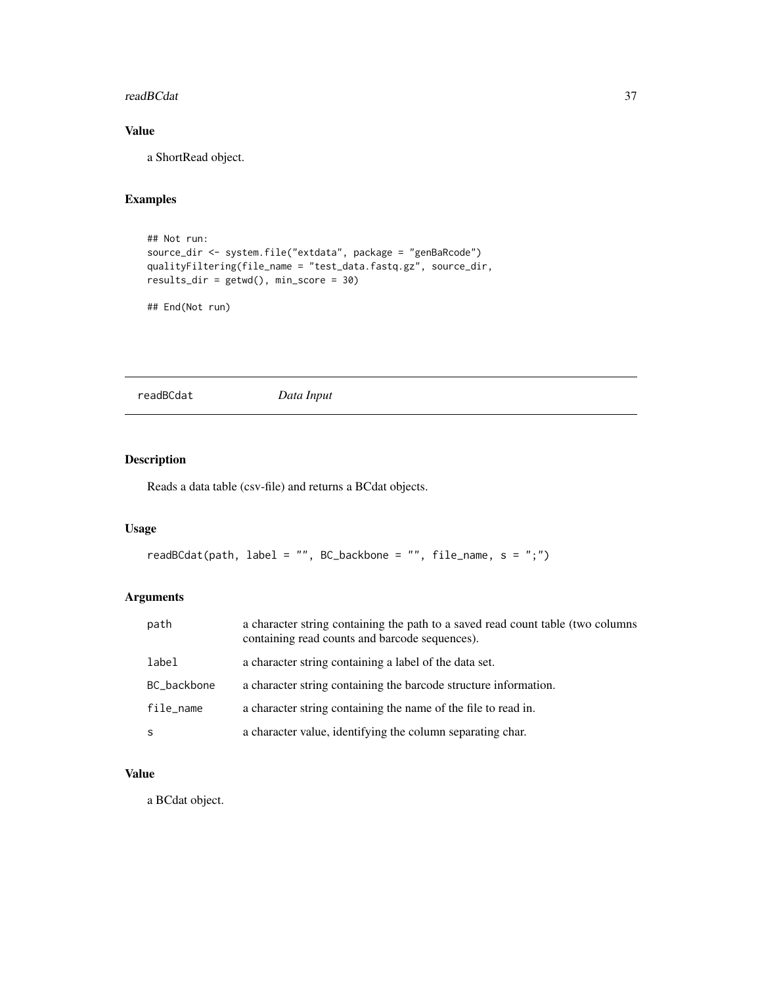#### <span id="page-36-0"></span>readBCdat 37

# Value

a ShortRead object.

# Examples

```
## Not run:
source_dir <- system.file("extdata", package = "genBaRcode")
qualityFiltering(file_name = "test_data.fastq.gz", source_dir,
results_dir = getwd(), min_score = 30)
```

```
## End(Not run)
```
readBCdat *Data Input*

# Description

Reads a data table (csv-file) and returns a BCdat objects.

#### Usage

```
readBCdat(path, label = "", BC_backbone = "", file_name, s = ";")
```
# Arguments

| path        | a character string containing the path to a saved read count table (two columns<br>containing read counts and barcode sequences). |
|-------------|-----------------------------------------------------------------------------------------------------------------------------------|
| label       | a character string containing a label of the data set.                                                                            |
| BC_backbone | a character string containing the barcode structure information.                                                                  |
| file_name   | a character string containing the name of the file to read in.                                                                    |
| S           | a character value, identifying the column separating char.                                                                        |

# Value

a BCdat object.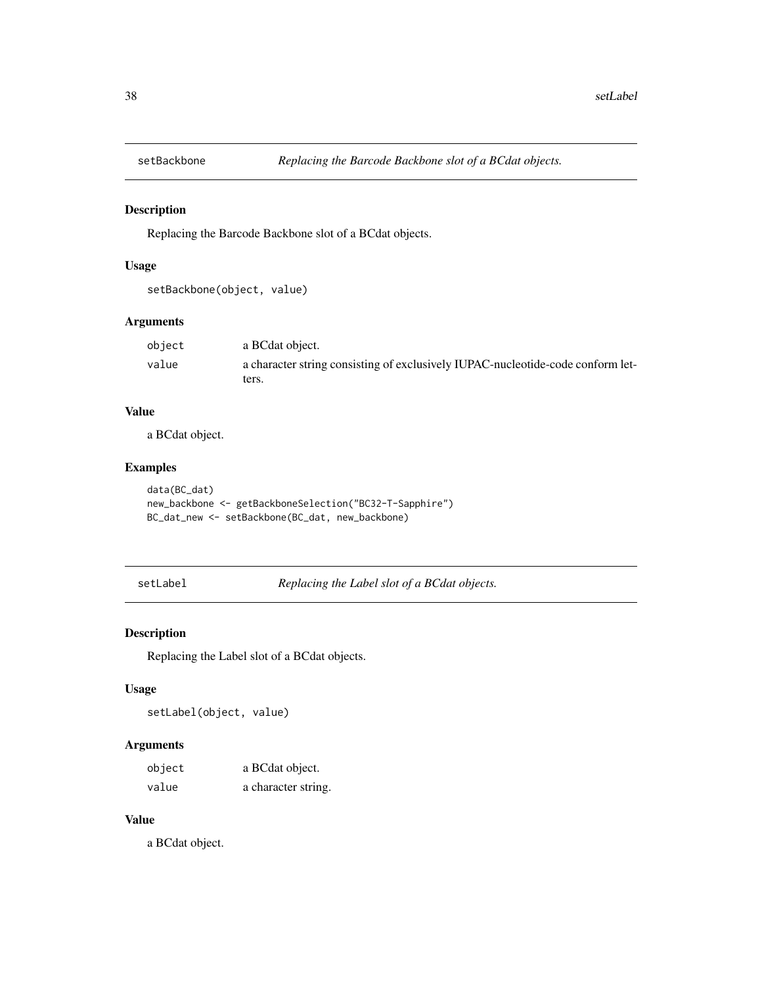<span id="page-37-0"></span>

Replacing the Barcode Backbone slot of a BCdat objects.

#### Usage

setBackbone(object, value)

#### Arguments

| object | a BCdat object.                                                                 |
|--------|---------------------------------------------------------------------------------|
| value  | a character string consisting of exclusively IUPAC-nucleotide-code conform let- |
|        | ters.                                                                           |

#### Value

a BCdat object.

#### Examples

```
data(BC_dat)
new_backbone <- getBackboneSelection("BC32-T-Sapphire")
BC_dat_new <- setBackbone(BC_dat, new_backbone)
```
setLabel *Replacing the Label slot of a BCdat objects.*

#### Description

Replacing the Label slot of a BCdat objects.

# Usage

setLabel(object, value)

#### Arguments

| object | a BCdat object.     |
|--------|---------------------|
| value  | a character string. |

#### Value

a BCdat object.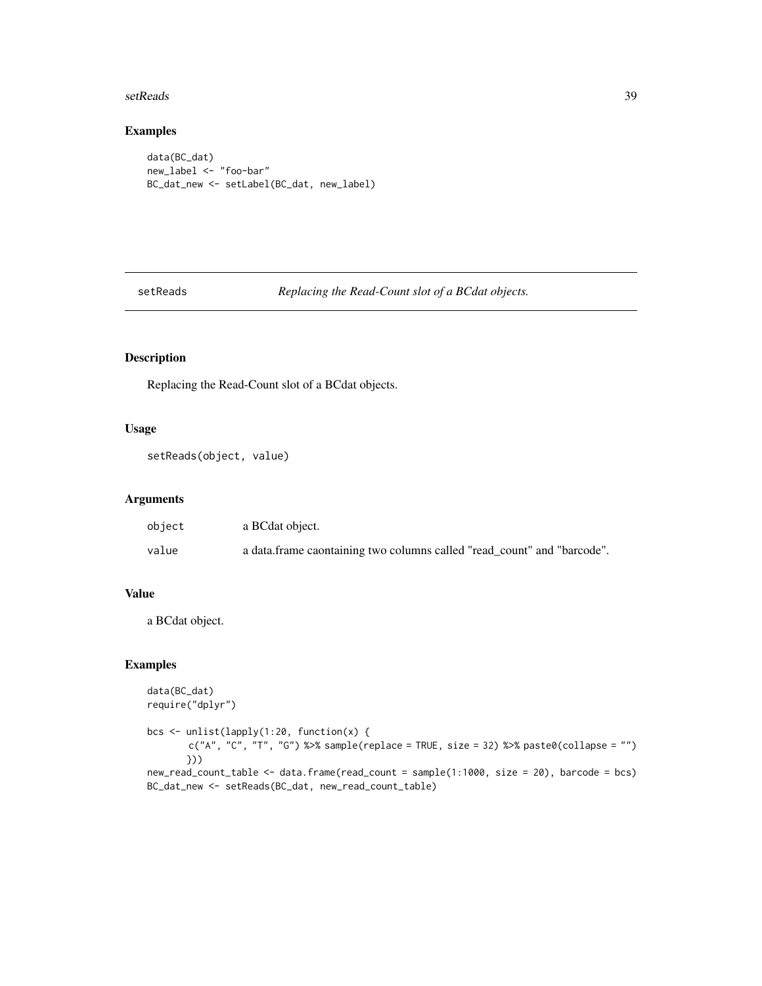#### <span id="page-38-0"></span>setReads 39

#### Examples

```
data(BC_dat)
new_label <- "foo-bar"
BC_dat_new <- setLabel(BC_dat, new_label)
```
setReads *Replacing the Read-Count slot of a BCdat objects.*

### Description

Replacing the Read-Count slot of a BCdat objects.

### Usage

```
setReads(object, value)
```
#### Arguments

| object | a BCdat object.                                                         |
|--------|-------------------------------------------------------------------------|
| value  | a data.frame caontaining two columns called "read_count" and "barcode". |

#### Value

a BCdat object.

#### Examples

```
data(BC_dat)
require("dplyr")
bcs <- unlist(lapply(1:20, function(x) {
       c("A", "C", "T", "G") %>% sample(replace = TRUE, size = 32) %>% paste0(collapse = "")
       }))
new_read_count_table <- data.frame(read_count = sample(1:1000, size = 20), barcode = bcs)
BC_dat_new <- setReads(BC_dat, new_read_count_table)
```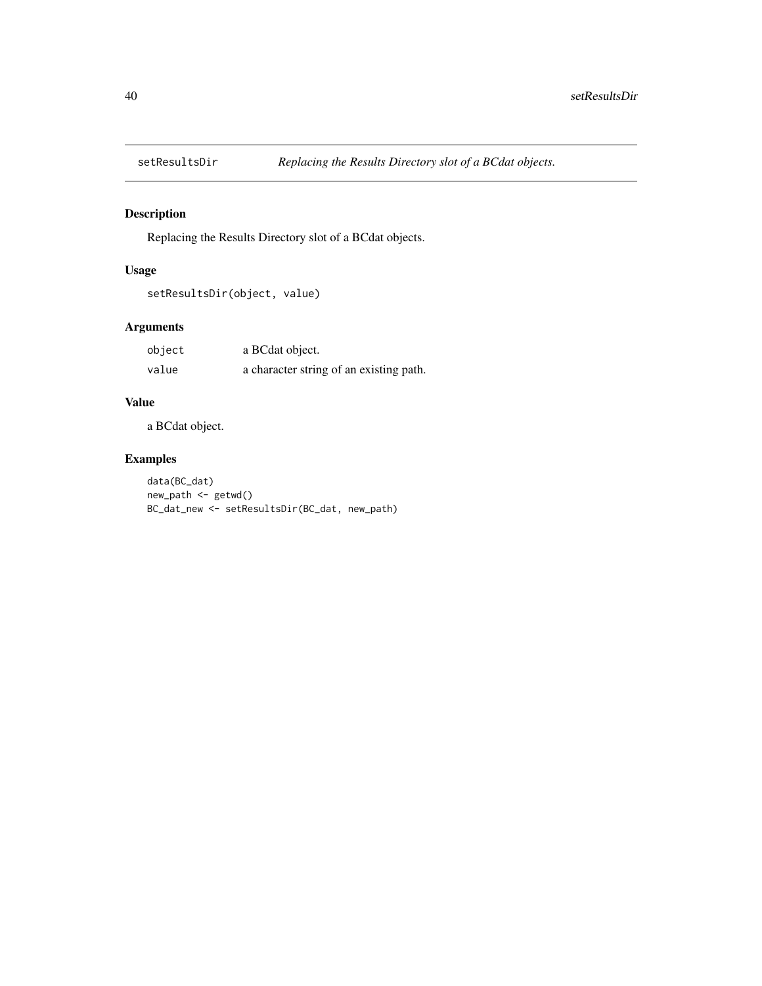<span id="page-39-0"></span>

Replacing the Results Directory slot of a BCdat objects.

#### Usage

```
setResultsDir(object, value)
```
#### Arguments

| object | a BCdat object.                         |
|--------|-----------------------------------------|
| value  | a character string of an existing path. |

# Value

a BCdat object.

# Examples

data(BC\_dat) new\_path <- getwd() BC\_dat\_new <- setResultsDir(BC\_dat, new\_path)